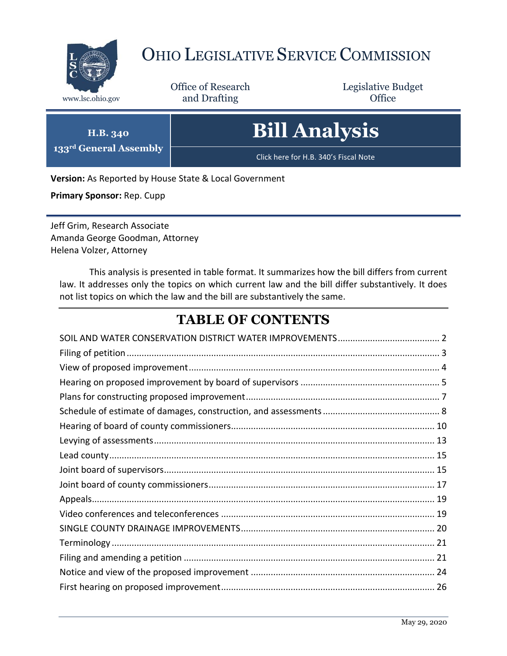

## OHIO LEGISLATIVE SERVICE COMMISSION

Office of Research www.lsc.ohio.gov **and Drafting Office** 

Legislative Budget

# **Bill Analysis**

Click here for H.B. 340's Fiscal Note

**Version:** As Reported by House State & Local Government

**Primary Sponsor:** Rep. Cupp

**H.B. 340 133rd General Assembly**

Jeff Grim, Research Associate Amanda George Goodman, Attorney Helena Volzer, Attorney

This analysis is presented in table format. It summarizes how the bill differs from current law. It addresses only the topics on which current law and the bill differ substantively. It does not list topics on which the law and the bill are substantively the same.

## **TABLE OF CONTENTS**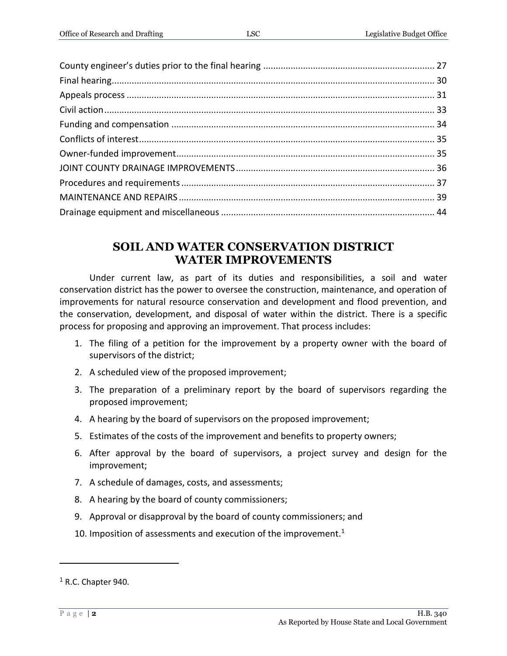#### **SOIL AND WATER CONSERVATION DISTRICT WATER IMPROVEMENTS**

<span id="page-1-0"></span>Under current law, as part of its duties and responsibilities, a soil and water conservation district has the power to oversee the construction, maintenance, and operation of improvements for natural resource conservation and development and flood prevention, and the conservation, development, and disposal of water within the district. There is a specific process for proposing and approving an improvement. That process includes:

- 1. The filing of a petition for the improvement by a property owner with the board of supervisors of the district;
- 2. A scheduled view of the proposed improvement;
- 3. The preparation of a preliminary report by the board of supervisors regarding the proposed improvement;
- 4. A hearing by the board of supervisors on the proposed improvement;
- 5. Estimates of the costs of the improvement and benefits to property owners;
- 6. After approval by the board of supervisors, a project survey and design for the improvement;
- 7. A schedule of damages, costs, and assessments;
- 8. A hearing by the board of county commissioners;
- 9. Approval or disapproval by the board of county commissioners; and
- 10. Imposition of assessments and execution of the improvement.<sup>1</sup>

 $\overline{a}$ 

 $<sup>1</sup>$  R.C. Chapter 940.</sup>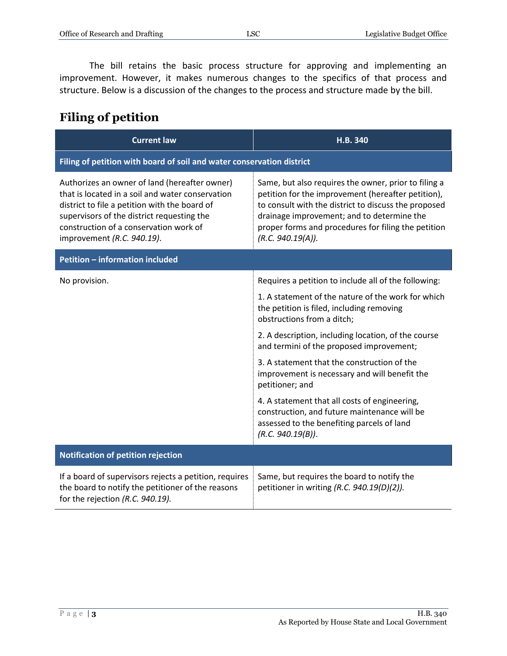The bill retains the basic process structure for approving and implementing an improvement. However, it makes numerous changes to the specifics of that process and structure. Below is a discussion of the changes to the process and structure made by the bill.

#### <span id="page-2-0"></span>**Filing of petition**

| <b>Current law</b>                                                                                                                                                                                                                                                       | H.B. 340                                                                                                                                                                                                                                                                                     |  |
|--------------------------------------------------------------------------------------------------------------------------------------------------------------------------------------------------------------------------------------------------------------------------|----------------------------------------------------------------------------------------------------------------------------------------------------------------------------------------------------------------------------------------------------------------------------------------------|--|
| Filing of petition with board of soil and water conservation district                                                                                                                                                                                                    |                                                                                                                                                                                                                                                                                              |  |
| Authorizes an owner of land (hereafter owner)<br>that is located in a soil and water conservation<br>district to file a petition with the board of<br>supervisors of the district requesting the<br>construction of a conservation work of<br>improvement (R.C. 940.19). | Same, but also requires the owner, prior to filing a<br>petition for the improvement (hereafter petition),<br>to consult with the district to discuss the proposed<br>drainage improvement; and to determine the<br>proper forms and procedures for filing the petition<br>(R.C. 940.19(A)). |  |
| <b>Petition - information included</b>                                                                                                                                                                                                                                   |                                                                                                                                                                                                                                                                                              |  |
| No provision.                                                                                                                                                                                                                                                            | Requires a petition to include all of the following:                                                                                                                                                                                                                                         |  |
|                                                                                                                                                                                                                                                                          | 1. A statement of the nature of the work for which<br>the petition is filed, including removing<br>obstructions from a ditch;                                                                                                                                                                |  |
|                                                                                                                                                                                                                                                                          | 2. A description, including location, of the course<br>and termini of the proposed improvement;                                                                                                                                                                                              |  |
|                                                                                                                                                                                                                                                                          | 3. A statement that the construction of the<br>improvement is necessary and will benefit the<br>petitioner; and                                                                                                                                                                              |  |
|                                                                                                                                                                                                                                                                          | 4. A statement that all costs of engineering,<br>construction, and future maintenance will be<br>assessed to the benefiting parcels of land<br>(R.C. 940.19(B)).                                                                                                                             |  |
| <b>Notification of petition rejection</b>                                                                                                                                                                                                                                |                                                                                                                                                                                                                                                                                              |  |
| If a board of supervisors rejects a petition, requires<br>the board to notify the petitioner of the reasons<br>for the rejection (R.C. 940.19).                                                                                                                          | Same, but requires the board to notify the<br>petitioner in writing (R.C. 940.19(D)(2)).                                                                                                                                                                                                     |  |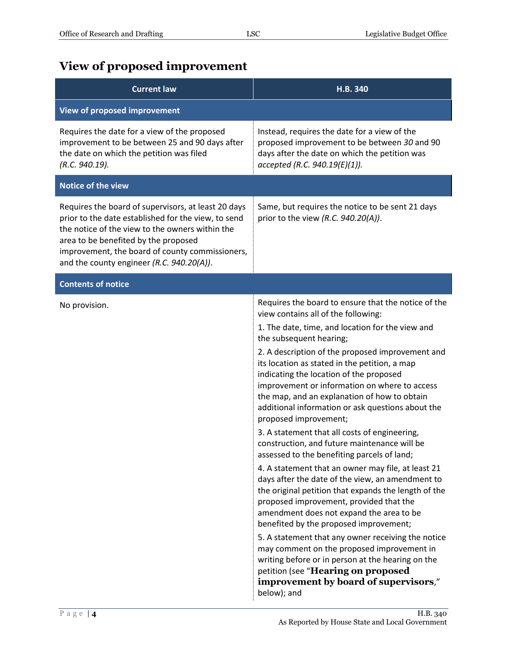## <span id="page-3-0"></span>**View of proposed improvement**

| <b>Current law</b>                                                                                                                                                                                                                                                                                    | H.B. 340                                                                                                                                                                                                                                                                                                                                                                                                                                                                                                                                                                                                                                                                                                                                                                                                                                                                                                                                                                                                                                                                                                                                                                                                           |
|-------------------------------------------------------------------------------------------------------------------------------------------------------------------------------------------------------------------------------------------------------------------------------------------------------|--------------------------------------------------------------------------------------------------------------------------------------------------------------------------------------------------------------------------------------------------------------------------------------------------------------------------------------------------------------------------------------------------------------------------------------------------------------------------------------------------------------------------------------------------------------------------------------------------------------------------------------------------------------------------------------------------------------------------------------------------------------------------------------------------------------------------------------------------------------------------------------------------------------------------------------------------------------------------------------------------------------------------------------------------------------------------------------------------------------------------------------------------------------------------------------------------------------------|
| <b>View of proposed improvement</b>                                                                                                                                                                                                                                                                   |                                                                                                                                                                                                                                                                                                                                                                                                                                                                                                                                                                                                                                                                                                                                                                                                                                                                                                                                                                                                                                                                                                                                                                                                                    |
| Requires the date for a view of the proposed<br>improvement to be between 25 and 90 days after<br>the date on which the petition was filed<br>(R.C. 940.19).                                                                                                                                          | Instead, requires the date for a view of the<br>proposed improvement to be between 30 and 90<br>days after the date on which the petition was<br>accepted (R.C. 940.19(E)(1)).                                                                                                                                                                                                                                                                                                                                                                                                                                                                                                                                                                                                                                                                                                                                                                                                                                                                                                                                                                                                                                     |
| Notice of the view                                                                                                                                                                                                                                                                                    |                                                                                                                                                                                                                                                                                                                                                                                                                                                                                                                                                                                                                                                                                                                                                                                                                                                                                                                                                                                                                                                                                                                                                                                                                    |
| Requires the board of supervisors, at least 20 days<br>prior to the date established for the view, to send<br>the notice of the view to the owners within the<br>area to be benefited by the proposed<br>improvement, the board of county commissioners,<br>and the county engineer (R.C. 940.20(A)). | Same, but requires the notice to be sent 21 days<br>prior to the view (R.C. $940.20(A)$ ).                                                                                                                                                                                                                                                                                                                                                                                                                                                                                                                                                                                                                                                                                                                                                                                                                                                                                                                                                                                                                                                                                                                         |
| <b>Contents of notice</b>                                                                                                                                                                                                                                                                             |                                                                                                                                                                                                                                                                                                                                                                                                                                                                                                                                                                                                                                                                                                                                                                                                                                                                                                                                                                                                                                                                                                                                                                                                                    |
| No provision.                                                                                                                                                                                                                                                                                         | Requires the board to ensure that the notice of the<br>view contains all of the following:<br>1. The date, time, and location for the view and<br>the subsequent hearing;<br>2. A description of the proposed improvement and<br>its location as stated in the petition, a map<br>indicating the location of the proposed<br>improvement or information on where to access<br>the map, and an explanation of how to obtain<br>additional information or ask questions about the<br>proposed improvement;<br>3. A statement that all costs of engineering,<br>construction, and future maintenance will be<br>assessed to the benefiting parcels of land;<br>4. A statement that an owner may file, at least 21<br>days after the date of the view, an amendment to<br>the original petition that expands the length of the<br>proposed improvement, provided that the<br>amendment does not expand the area to be<br>benefited by the proposed improvement;<br>5. A statement that any owner receiving the notice<br>may comment on the proposed improvement in<br>writing before or in person at the hearing on the<br>petition (see "Hearing on proposed<br>improvement by board of supervisors,"<br>below); and |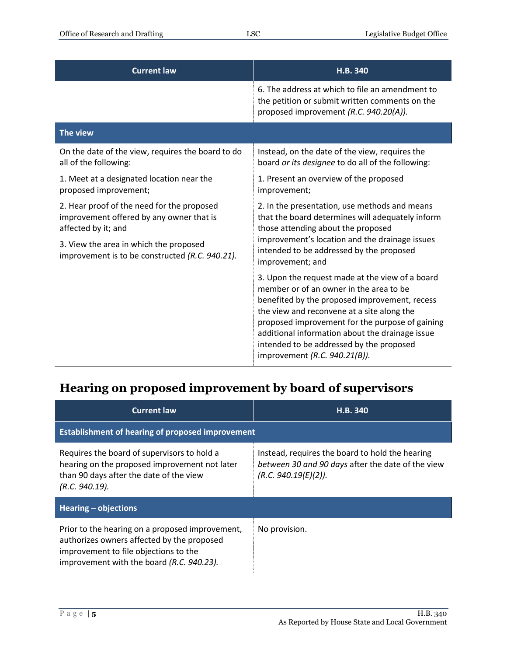| <b>Current law</b>                                                                                            | H.B. 340                                                                                                                                                                                                                                                                                                                                                                     |
|---------------------------------------------------------------------------------------------------------------|------------------------------------------------------------------------------------------------------------------------------------------------------------------------------------------------------------------------------------------------------------------------------------------------------------------------------------------------------------------------------|
|                                                                                                               | 6. The address at which to file an amendment to<br>the petition or submit written comments on the<br>proposed improvement (R.C. 940.20(A)).                                                                                                                                                                                                                                  |
| The view                                                                                                      |                                                                                                                                                                                                                                                                                                                                                                              |
| On the date of the view, requires the board to do<br>all of the following:                                    | Instead, on the date of the view, requires the<br>board or its designee to do all of the following:                                                                                                                                                                                                                                                                          |
| 1. Meet at a designated location near the<br>proposed improvement;                                            | 1. Present an overview of the proposed<br>improvement;                                                                                                                                                                                                                                                                                                                       |
| 2. Hear proof of the need for the proposed<br>improvement offered by any owner that is<br>affected by it; and | 2. In the presentation, use methods and means<br>that the board determines will adequately inform<br>those attending about the proposed                                                                                                                                                                                                                                      |
| 3. View the area in which the proposed<br>improvement is to be constructed (R.C. 940.21).                     | improvement's location and the drainage issues<br>intended to be addressed by the proposed<br>improvement; and                                                                                                                                                                                                                                                               |
|                                                                                                               | 3. Upon the request made at the view of a board<br>member or of an owner in the area to be<br>benefited by the proposed improvement, recess<br>the view and reconvene at a site along the<br>proposed improvement for the purpose of gaining<br>additional information about the drainage issue<br>intended to be addressed by the proposed<br>improvement (R.C. 940.21(B)). |

#### <span id="page-4-0"></span>**Hearing on proposed improvement by board of supervisors**

| <b>Current law</b>                                                                                                                                                                  | <b>H.B. 340</b>                                                                                                              |  |
|-------------------------------------------------------------------------------------------------------------------------------------------------------------------------------------|------------------------------------------------------------------------------------------------------------------------------|--|
| <b>Establishment of hearing of proposed improvement</b>                                                                                                                             |                                                                                                                              |  |
| Requires the board of supervisors to hold a<br>hearing on the proposed improvement not later<br>than 90 days after the date of the view<br>(R.C. 940.19).                           | Instead, requires the board to hold the hearing<br>between 30 and 90 days after the date of the view<br>(R.C. 940.19(E)(2)). |  |
| Hearing $-$ objections                                                                                                                                                              |                                                                                                                              |  |
| Prior to the hearing on a proposed improvement,<br>authorizes owners affected by the proposed<br>improvement to file objections to the<br>improvement with the board (R.C. 940.23). | No provision.                                                                                                                |  |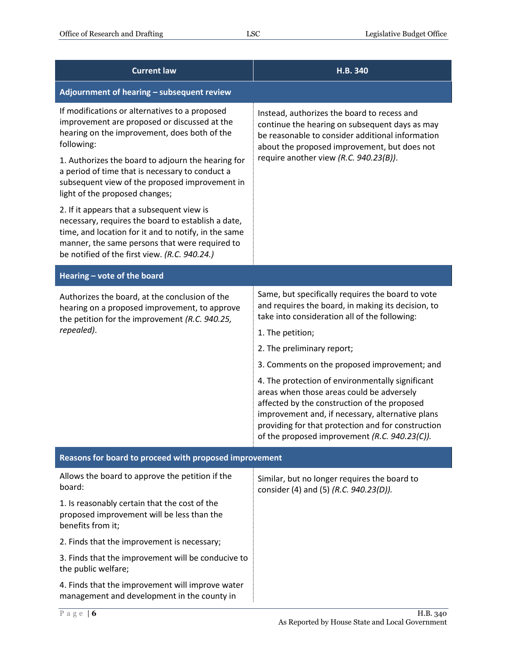| <b>Current law</b>                                                                                                                                                                                                                                          | H.B. 340                                                                                                                                                                                                                                                                                                 |  |
|-------------------------------------------------------------------------------------------------------------------------------------------------------------------------------------------------------------------------------------------------------------|----------------------------------------------------------------------------------------------------------------------------------------------------------------------------------------------------------------------------------------------------------------------------------------------------------|--|
| Adjournment of hearing - subsequent review                                                                                                                                                                                                                  |                                                                                                                                                                                                                                                                                                          |  |
| If modifications or alternatives to a proposed<br>improvement are proposed or discussed at the<br>hearing on the improvement, does both of the<br>following:                                                                                                | Instead, authorizes the board to recess and<br>continue the hearing on subsequent days as may<br>be reasonable to consider additional information<br>about the proposed improvement, but does not                                                                                                        |  |
| 1. Authorizes the board to adjourn the hearing for<br>a period of time that is necessary to conduct a<br>subsequent view of the proposed improvement in<br>light of the proposed changes;                                                                   | require another view (R.C. 940.23(B)).                                                                                                                                                                                                                                                                   |  |
| 2. If it appears that a subsequent view is<br>necessary, requires the board to establish a date,<br>time, and location for it and to notify, in the same<br>manner, the same persons that were required to<br>be notified of the first view. (R.C. 940.24.) |                                                                                                                                                                                                                                                                                                          |  |
| Hearing - vote of the board                                                                                                                                                                                                                                 |                                                                                                                                                                                                                                                                                                          |  |
| Authorizes the board, at the conclusion of the<br>hearing on a proposed improvement, to approve<br>the petition for the improvement (R.C. 940.25,                                                                                                           | Same, but specifically requires the board to vote<br>and requires the board, in making its decision, to<br>take into consideration all of the following:                                                                                                                                                 |  |
| repealed).                                                                                                                                                                                                                                                  | 1. The petition;                                                                                                                                                                                                                                                                                         |  |
|                                                                                                                                                                                                                                                             | 2. The preliminary report;                                                                                                                                                                                                                                                                               |  |
|                                                                                                                                                                                                                                                             | 3. Comments on the proposed improvement; and                                                                                                                                                                                                                                                             |  |
|                                                                                                                                                                                                                                                             | 4. The protection of environmentally significant<br>areas when those areas could be adversely<br>affected by the construction of the proposed<br>improvement and, if necessary, alternative plans<br>providing for that protection and for construction<br>of the proposed improvement (R.C. 940.23(C)). |  |
| Reasons for board to proceed with proposed improvement                                                                                                                                                                                                      |                                                                                                                                                                                                                                                                                                          |  |
| Allows the board to approve the petition if the<br>board:                                                                                                                                                                                                   | Similar, but no longer requires the board to<br>consider (4) and (5) (R.C. 940.23(D)).                                                                                                                                                                                                                   |  |
| 1. Is reasonably certain that the cost of the<br>proposed improvement will be less than the<br>benefits from it;                                                                                                                                            |                                                                                                                                                                                                                                                                                                          |  |
| 2. Finds that the improvement is necessary;                                                                                                                                                                                                                 |                                                                                                                                                                                                                                                                                                          |  |
| 3. Finds that the improvement will be conducive to<br>the public welfare;                                                                                                                                                                                   |                                                                                                                                                                                                                                                                                                          |  |
| 4. Finds that the improvement will improve water<br>management and development in the county in                                                                                                                                                             |                                                                                                                                                                                                                                                                                                          |  |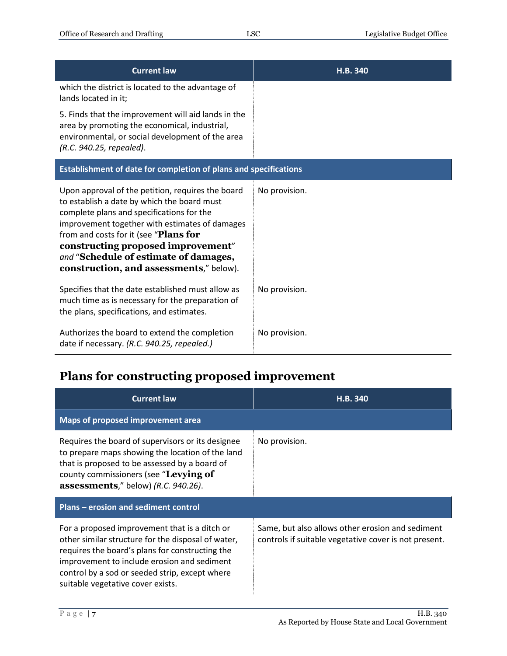| <b>Current law</b>                                                                                                                                                                                                                                                                                                                                                 | H.B. 340      |
|--------------------------------------------------------------------------------------------------------------------------------------------------------------------------------------------------------------------------------------------------------------------------------------------------------------------------------------------------------------------|---------------|
| which the district is located to the advantage of<br>lands located in it;                                                                                                                                                                                                                                                                                          |               |
| 5. Finds that the improvement will aid lands in the<br>area by promoting the economical, industrial,<br>environmental, or social development of the area<br>(R.C. 940.25, repealed).                                                                                                                                                                               |               |
| Establishment of date for completion of plans and specifications                                                                                                                                                                                                                                                                                                   |               |
| Upon approval of the petition, requires the board<br>to establish a date by which the board must<br>complete plans and specifications for the<br>improvement together with estimates of damages<br>from and costs for it (see "Plans for<br>constructing proposed improvement"<br>and "Schedule of estimate of damages,<br>construction, and assessments," below). | No provision. |
| Specifies that the date established must allow as<br>much time as is necessary for the preparation of<br>the plans, specifications, and estimates.                                                                                                                                                                                                                 | No provision. |
| Authorizes the board to extend the completion<br>date if necessary. (R.C. 940.25, repealed.)                                                                                                                                                                                                                                                                       | No provision. |

## <span id="page-6-0"></span>**Plans for constructing proposed improvement**

| <b>Current law</b>                                                                                                                                                                                                                                                                           | H.B. 340                                                                                                  |
|----------------------------------------------------------------------------------------------------------------------------------------------------------------------------------------------------------------------------------------------------------------------------------------------|-----------------------------------------------------------------------------------------------------------|
| Maps of proposed improvement area                                                                                                                                                                                                                                                            |                                                                                                           |
| Requires the board of supervisors or its designee<br>to prepare maps showing the location of the land<br>that is proposed to be assessed by a board of<br>county commissioners (see "Levying of<br><b>assessments</b> ," below) (R.C. 940.26).                                               | No provision.                                                                                             |
| Plans – erosion and sediment control                                                                                                                                                                                                                                                         |                                                                                                           |
| For a proposed improvement that is a ditch or<br>other similar structure for the disposal of water,<br>requires the board's plans for constructing the<br>improvement to include erosion and sediment<br>control by a sod or seeded strip, except where<br>suitable vegetative cover exists. | Same, but also allows other erosion and sediment<br>controls if suitable vegetative cover is not present. |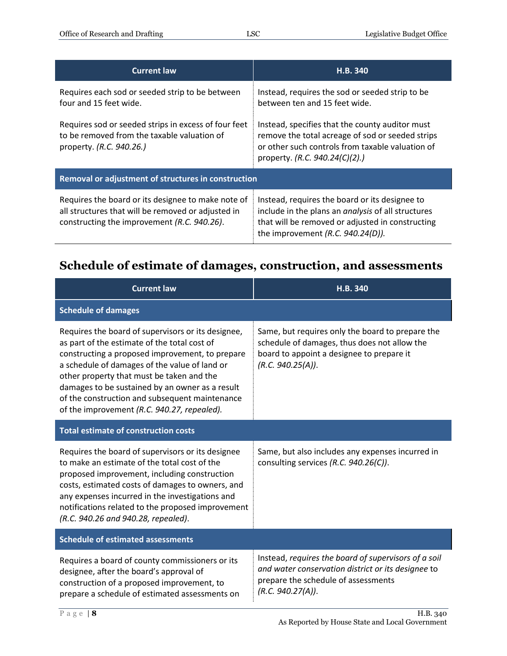| <b>Current law</b>                                                                                                                                      | H.B. 340                                                                                                                                                                                                |  |
|---------------------------------------------------------------------------------------------------------------------------------------------------------|---------------------------------------------------------------------------------------------------------------------------------------------------------------------------------------------------------|--|
| Requires each sod or seeded strip to be between<br>four and 15 feet wide.                                                                               | Instead, requires the sod or seeded strip to be<br>between ten and 15 feet wide.                                                                                                                        |  |
| Requires sod or seeded strips in excess of four feet<br>to be removed from the taxable valuation of<br>property. (R.C. 940.26.)                         | Instead, specifies that the county auditor must<br>remove the total acreage of sod or seeded strips<br>or other such controls from taxable valuation of<br>property. (R.C. 940.24(C)(2).)               |  |
| Removal or adjustment of structures in construction                                                                                                     |                                                                                                                                                                                                         |  |
| Requires the board or its designee to make note of<br>all structures that will be removed or adjusted in<br>constructing the improvement (R.C. 940.26). | Instead, requires the board or its designee to<br>include in the plans an <i>analysis</i> of all structures<br>that will be removed or adjusted in constructing<br>the improvement $(R.C. 940.24(D))$ . |  |

## <span id="page-7-0"></span>**Schedule of estimate of damages, construction, and assessments**

| <b>Current law</b>                                                                                                                                                                                                                                                                                                                                                                                      | H.B. 340                                                                                                                                                               |  |
|---------------------------------------------------------------------------------------------------------------------------------------------------------------------------------------------------------------------------------------------------------------------------------------------------------------------------------------------------------------------------------------------------------|------------------------------------------------------------------------------------------------------------------------------------------------------------------------|--|
| <b>Schedule of damages</b>                                                                                                                                                                                                                                                                                                                                                                              |                                                                                                                                                                        |  |
| Requires the board of supervisors or its designee,<br>as part of the estimate of the total cost of<br>constructing a proposed improvement, to prepare<br>a schedule of damages of the value of land or<br>other property that must be taken and the<br>damages to be sustained by an owner as a result<br>of the construction and subsequent maintenance<br>of the improvement (R.C. 940.27, repealed). | Same, but requires only the board to prepare the<br>schedule of damages, thus does not allow the<br>board to appoint a designee to prepare it<br>(R.C. 940.25(A)).     |  |
| <b>Total estimate of construction costs</b>                                                                                                                                                                                                                                                                                                                                                             |                                                                                                                                                                        |  |
| Requires the board of supervisors or its designee<br>to make an estimate of the total cost of the<br>proposed improvement, including construction<br>costs, estimated costs of damages to owners, and<br>any expenses incurred in the investigations and<br>notifications related to the proposed improvement<br>(R.C. 940.26 and 940.28, repealed).                                                    | Same, but also includes any expenses incurred in<br>consulting services (R.C. 940.26(C)).                                                                              |  |
| <b>Schedule of estimated assessments</b>                                                                                                                                                                                                                                                                                                                                                                |                                                                                                                                                                        |  |
| Requires a board of county commissioners or its<br>designee, after the board's approval of<br>construction of a proposed improvement, to<br>prepare a schedule of estimated assessments on                                                                                                                                                                                                              | Instead, requires the board of supervisors of a soil<br>and water conservation district or its designee to<br>prepare the schedule of assessments<br>(R.C. 940.27(A)). |  |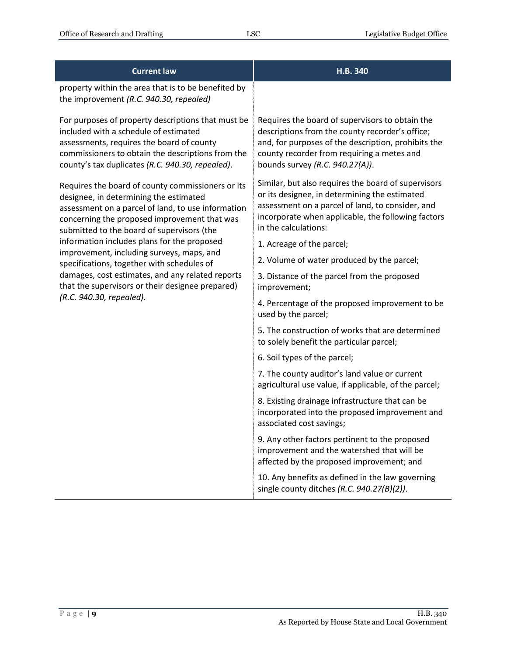| <b>Current law</b>                                                                                                                                                                                                                                | H.B. 340                                                                                                                                                                                                                                   |
|---------------------------------------------------------------------------------------------------------------------------------------------------------------------------------------------------------------------------------------------------|--------------------------------------------------------------------------------------------------------------------------------------------------------------------------------------------------------------------------------------------|
| property within the area that is to be benefited by<br>the improvement (R.C. 940.30, repealed)                                                                                                                                                    |                                                                                                                                                                                                                                            |
| For purposes of property descriptions that must be<br>included with a schedule of estimated<br>assessments, requires the board of county<br>commissioners to obtain the descriptions from the<br>county's tax duplicates (R.C. 940.30, repealed). | Requires the board of supervisors to obtain the<br>descriptions from the county recorder's office;<br>and, for purposes of the description, prohibits the<br>county recorder from requiring a metes and<br>bounds survey (R.C. 940.27(A)). |
| Requires the board of county commissioners or its<br>designee, in determining the estimated<br>assessment on a parcel of land, to use information<br>concerning the proposed improvement that was<br>submitted to the board of supervisors (the   | Similar, but also requires the board of supervisors<br>or its designee, in determining the estimated<br>assessment on a parcel of land, to consider, and<br>incorporate when applicable, the following factors<br>in the calculations:     |
| information includes plans for the proposed<br>improvement, including surveys, maps, and                                                                                                                                                          | 1. Acreage of the parcel;                                                                                                                                                                                                                  |
| specifications, together with schedules of                                                                                                                                                                                                        | 2. Volume of water produced by the parcel;                                                                                                                                                                                                 |
| damages, cost estimates, and any related reports<br>that the supervisors or their designee prepared)                                                                                                                                              | 3. Distance of the parcel from the proposed<br>improvement;                                                                                                                                                                                |
| (R.C. 940.30, repealed).                                                                                                                                                                                                                          | 4. Percentage of the proposed improvement to be<br>used by the parcel;                                                                                                                                                                     |
|                                                                                                                                                                                                                                                   | 5. The construction of works that are determined<br>to solely benefit the particular parcel;                                                                                                                                               |
|                                                                                                                                                                                                                                                   | 6. Soil types of the parcel;                                                                                                                                                                                                               |
|                                                                                                                                                                                                                                                   | 7. The county auditor's land value or current<br>agricultural use value, if applicable, of the parcel;                                                                                                                                     |
|                                                                                                                                                                                                                                                   | 8. Existing drainage infrastructure that can be<br>incorporated into the proposed improvement and<br>associated cost savings;                                                                                                              |
|                                                                                                                                                                                                                                                   | 9. Any other factors pertinent to the proposed<br>improvement and the watershed that will be<br>affected by the proposed improvement; and                                                                                                  |
|                                                                                                                                                                                                                                                   | 10. Any benefits as defined in the law governing<br>single county ditches (R.C. 940.27(B)(2)).                                                                                                                                             |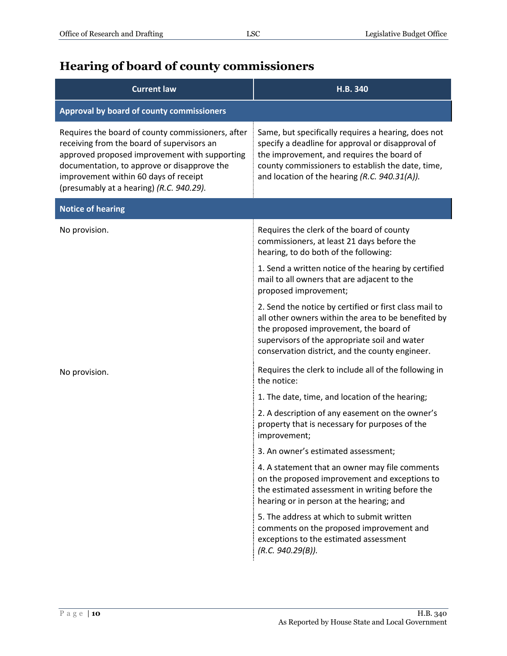## <span id="page-9-0"></span>**Hearing of board of county commissioners**

| <b>Current law</b>                                                                                                                                                                                                                                                                   | H.B. 340                                                                                                                                                                                                                                                     |
|--------------------------------------------------------------------------------------------------------------------------------------------------------------------------------------------------------------------------------------------------------------------------------------|--------------------------------------------------------------------------------------------------------------------------------------------------------------------------------------------------------------------------------------------------------------|
| Approval by board of county commissioners                                                                                                                                                                                                                                            |                                                                                                                                                                                                                                                              |
| Requires the board of county commissioners, after<br>receiving from the board of supervisors an<br>approved proposed improvement with supporting<br>documentation, to approve or disapprove the<br>improvement within 60 days of receipt<br>(presumably at a hearing) (R.C. 940.29). | Same, but specifically requires a hearing, does not<br>specify a deadline for approval or disapproval of<br>the improvement, and requires the board of<br>county commissioners to establish the date, time,<br>and location of the hearing (R.C. 940.31(A)). |
| <b>Notice of hearing</b>                                                                                                                                                                                                                                                             |                                                                                                                                                                                                                                                              |
| No provision.                                                                                                                                                                                                                                                                        | Requires the clerk of the board of county<br>commissioners, at least 21 days before the<br>hearing, to do both of the following:                                                                                                                             |
|                                                                                                                                                                                                                                                                                      | 1. Send a written notice of the hearing by certified<br>mail to all owners that are adjacent to the<br>proposed improvement;                                                                                                                                 |
|                                                                                                                                                                                                                                                                                      | 2. Send the notice by certified or first class mail to<br>all other owners within the area to be benefited by<br>the proposed improvement, the board of<br>supervisors of the appropriate soil and water<br>conservation district, and the county engineer.  |
| No provision.                                                                                                                                                                                                                                                                        | Requires the clerk to include all of the following in<br>the notice:                                                                                                                                                                                         |
|                                                                                                                                                                                                                                                                                      | 1. The date, time, and location of the hearing;                                                                                                                                                                                                              |
|                                                                                                                                                                                                                                                                                      | 2. A description of any easement on the owner's<br>property that is necessary for purposes of the<br>improvement;                                                                                                                                            |
|                                                                                                                                                                                                                                                                                      | 3. An owner's estimated assessment;                                                                                                                                                                                                                          |
|                                                                                                                                                                                                                                                                                      | 4. A statement that an owner may file comments<br>on the proposed improvement and exceptions to<br>the estimated assessment in writing before the<br>hearing or in person at the hearing; and                                                                |
|                                                                                                                                                                                                                                                                                      | 5. The address at which to submit written<br>comments on the proposed improvement and<br>exceptions to the estimated assessment<br>(R.C. 940.29(B)).                                                                                                         |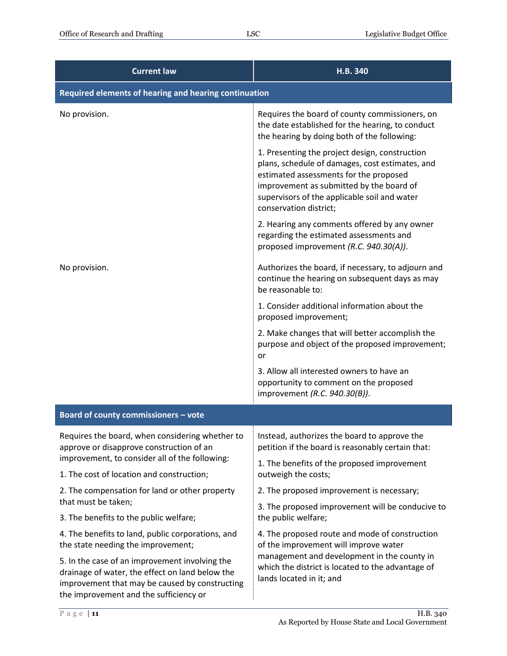| <b>Current law</b>                                                                                                                                                                            | H.B. 340                                                                                                                                                                                                                                                          |  |
|-----------------------------------------------------------------------------------------------------------------------------------------------------------------------------------------------|-------------------------------------------------------------------------------------------------------------------------------------------------------------------------------------------------------------------------------------------------------------------|--|
| Required elements of hearing and hearing continuation                                                                                                                                         |                                                                                                                                                                                                                                                                   |  |
| No provision.                                                                                                                                                                                 | Requires the board of county commissioners, on<br>the date established for the hearing, to conduct<br>the hearing by doing both of the following:                                                                                                                 |  |
|                                                                                                                                                                                               | 1. Presenting the project design, construction<br>plans, schedule of damages, cost estimates, and<br>estimated assessments for the proposed<br>improvement as submitted by the board of<br>supervisors of the applicable soil and water<br>conservation district; |  |
|                                                                                                                                                                                               | 2. Hearing any comments offered by any owner<br>regarding the estimated assessments and<br>proposed improvement (R.C. 940.30(A)).                                                                                                                                 |  |
| No provision.                                                                                                                                                                                 | Authorizes the board, if necessary, to adjourn and<br>continue the hearing on subsequent days as may<br>be reasonable to:                                                                                                                                         |  |
|                                                                                                                                                                                               | 1. Consider additional information about the<br>proposed improvement;                                                                                                                                                                                             |  |
|                                                                                                                                                                                               | 2. Make changes that will better accomplish the<br>purpose and object of the proposed improvement;<br>or                                                                                                                                                          |  |
|                                                                                                                                                                                               | 3. Allow all interested owners to have an<br>opportunity to comment on the proposed<br>improvement (R.C. 940.30(B)).                                                                                                                                              |  |
| Board of county commissioners - vote                                                                                                                                                          |                                                                                                                                                                                                                                                                   |  |
| Requires the board, when considering whether to<br>approve or disapprove construction of an                                                                                                   | Instead, authorizes the board to approve the<br>petition if the board is reasonably certain that:                                                                                                                                                                 |  |
| improvement, to consider all of the following:                                                                                                                                                | 1. The benefits of the proposed improvement                                                                                                                                                                                                                       |  |
| 1. The cost of location and construction;<br>2. The compensation for land or other property                                                                                                   | outweigh the costs;<br>2. The proposed improvement is necessary;                                                                                                                                                                                                  |  |
| that must be taken;                                                                                                                                                                           | 3. The proposed improvement will be conducive to                                                                                                                                                                                                                  |  |
| 3. The benefits to the public welfare;                                                                                                                                                        | the public welfare;                                                                                                                                                                                                                                               |  |
| 4. The benefits to land, public corporations, and<br>the state needing the improvement;                                                                                                       | 4. The proposed route and mode of construction<br>of the improvement will improve water                                                                                                                                                                           |  |
| 5. In the case of an improvement involving the<br>drainage of water, the effect on land below the<br>improvement that may be caused by constructing<br>the improvement and the sufficiency or | management and development in the county in<br>which the district is located to the advantage of<br>lands located in it; and                                                                                                                                      |  |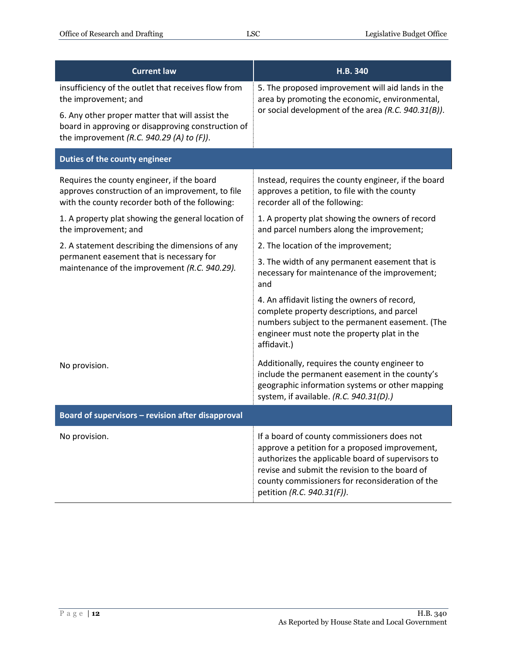| <b>Current law</b>                                                                                                                                                                                                                   | H.B. 340                                                                                                                                                                                                                                                                              |
|--------------------------------------------------------------------------------------------------------------------------------------------------------------------------------------------------------------------------------------|---------------------------------------------------------------------------------------------------------------------------------------------------------------------------------------------------------------------------------------------------------------------------------------|
| insufficiency of the outlet that receives flow from<br>the improvement; and<br>6. Any other proper matter that will assist the<br>board in approving or disapproving construction of<br>the improvement (R.C. 940.29 (A) to $(F)$ ). | 5. The proposed improvement will aid lands in the<br>area by promoting the economic, environmental,<br>or social development of the area (R.C. 940.31(B)).                                                                                                                            |
| Duties of the county engineer                                                                                                                                                                                                        |                                                                                                                                                                                                                                                                                       |
| Requires the county engineer, if the board<br>approves construction of an improvement, to file<br>with the county recorder both of the following:                                                                                    | Instead, requires the county engineer, if the board<br>approves a petition, to file with the county<br>recorder all of the following:                                                                                                                                                 |
| 1. A property plat showing the general location of<br>the improvement; and                                                                                                                                                           | 1. A property plat showing the owners of record<br>and parcel numbers along the improvement;                                                                                                                                                                                          |
| 2. A statement describing the dimensions of any<br>permanent easement that is necessary for<br>maintenance of the improvement (R.C. 940.29).                                                                                         | 2. The location of the improvement;                                                                                                                                                                                                                                                   |
|                                                                                                                                                                                                                                      | 3. The width of any permanent easement that is<br>necessary for maintenance of the improvement;<br>and                                                                                                                                                                                |
|                                                                                                                                                                                                                                      | 4. An affidavit listing the owners of record,<br>complete property descriptions, and parcel<br>numbers subject to the permanent easement. (The<br>engineer must note the property plat in the<br>affidavit.)                                                                          |
| No provision.                                                                                                                                                                                                                        | Additionally, requires the county engineer to<br>include the permanent easement in the county's<br>geographic information systems or other mapping<br>system, if available. (R.C. 940.31(D).)                                                                                         |
| Board of supervisors - revision after disapproval                                                                                                                                                                                    |                                                                                                                                                                                                                                                                                       |
| No provision.                                                                                                                                                                                                                        | If a board of county commissioners does not<br>approve a petition for a proposed improvement,<br>authorizes the applicable board of supervisors to<br>revise and submit the revision to the board of<br>county commissioners for reconsideration of the<br>petition (R.C. 940.31(F)). |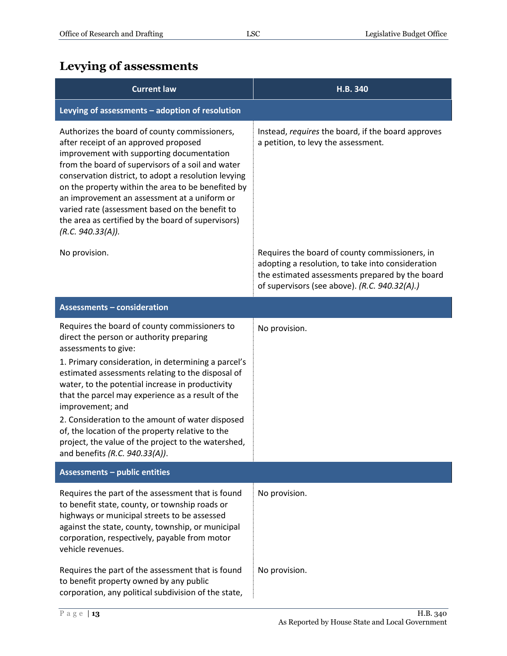## <span id="page-12-0"></span>**Levying of assessments**

| <b>Current law</b>                                                                                                                                                                                                                                                                                                                                                                                                                                                                   | H.B. 340                                                                                                                                                                                                |
|--------------------------------------------------------------------------------------------------------------------------------------------------------------------------------------------------------------------------------------------------------------------------------------------------------------------------------------------------------------------------------------------------------------------------------------------------------------------------------------|---------------------------------------------------------------------------------------------------------------------------------------------------------------------------------------------------------|
| Levying of assessments - adoption of resolution                                                                                                                                                                                                                                                                                                                                                                                                                                      |                                                                                                                                                                                                         |
| Authorizes the board of county commissioners,<br>after receipt of an approved proposed<br>improvement with supporting documentation<br>from the board of supervisors of a soil and water<br>conservation district, to adopt a resolution levying<br>on the property within the area to be benefited by<br>an improvement an assessment at a uniform or<br>varied rate (assessment based on the benefit to<br>the area as certified by the board of supervisors)<br>(R.C. 940.33(A)). | Instead, requires the board, if the board approves<br>a petition, to levy the assessment.                                                                                                               |
| No provision.                                                                                                                                                                                                                                                                                                                                                                                                                                                                        | Requires the board of county commissioners, in<br>adopting a resolution, to take into consideration<br>the estimated assessments prepared by the board<br>of supervisors (see above). (R.C. 940.32(A).) |
| <b>Assessments - consideration</b>                                                                                                                                                                                                                                                                                                                                                                                                                                                   |                                                                                                                                                                                                         |
| Requires the board of county commissioners to<br>direct the person or authority preparing<br>assessments to give:<br>1. Primary consideration, in determining a parcel's<br>estimated assessments relating to the disposal of<br>water, to the potential increase in productivity                                                                                                                                                                                                    | No provision.                                                                                                                                                                                           |
| that the parcel may experience as a result of the<br>improvement; and                                                                                                                                                                                                                                                                                                                                                                                                                |                                                                                                                                                                                                         |
| 2. Consideration to the amount of water disposed<br>of, the location of the property relative to the<br>project, the value of the project to the watershed,<br>and benefits (R.C. 940.33(A)).                                                                                                                                                                                                                                                                                        |                                                                                                                                                                                                         |
| <b>Assessments - public entities</b>                                                                                                                                                                                                                                                                                                                                                                                                                                                 |                                                                                                                                                                                                         |
| Requires the part of the assessment that is found<br>to benefit state, county, or township roads or<br>highways or municipal streets to be assessed<br>against the state, county, township, or municipal<br>corporation, respectively, payable from motor<br>vehicle revenues.                                                                                                                                                                                                       | No provision.                                                                                                                                                                                           |
| Requires the part of the assessment that is found<br>to benefit property owned by any public<br>corporation, any political subdivision of the state,                                                                                                                                                                                                                                                                                                                                 | No provision.                                                                                                                                                                                           |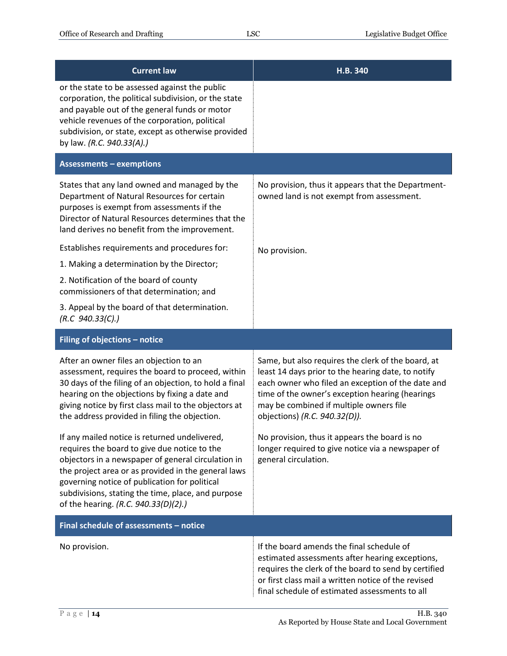| <b>Current law</b>                                                                                                                                                                                                                                                                                                                                                                                                  | H.B. 340                                                                                                                                                                                                                                                                                                                                                                                           |
|---------------------------------------------------------------------------------------------------------------------------------------------------------------------------------------------------------------------------------------------------------------------------------------------------------------------------------------------------------------------------------------------------------------------|----------------------------------------------------------------------------------------------------------------------------------------------------------------------------------------------------------------------------------------------------------------------------------------------------------------------------------------------------------------------------------------------------|
| or the state to be assessed against the public<br>corporation, the political subdivision, or the state<br>and payable out of the general funds or motor<br>vehicle revenues of the corporation, political<br>subdivision, or state, except as otherwise provided<br>by law. (R.C. 940.33(A).)                                                                                                                       |                                                                                                                                                                                                                                                                                                                                                                                                    |
| <b>Assessments - exemptions</b>                                                                                                                                                                                                                                                                                                                                                                                     |                                                                                                                                                                                                                                                                                                                                                                                                    |
| States that any land owned and managed by the<br>Department of Natural Resources for certain<br>purposes is exempt from assessments if the<br>Director of Natural Resources determines that the<br>land derives no benefit from the improvement.                                                                                                                                                                    | No provision, thus it appears that the Department-<br>owned land is not exempt from assessment.                                                                                                                                                                                                                                                                                                    |
| Establishes requirements and procedures for:                                                                                                                                                                                                                                                                                                                                                                        | No provision.                                                                                                                                                                                                                                                                                                                                                                                      |
| 1. Making a determination by the Director;                                                                                                                                                                                                                                                                                                                                                                          |                                                                                                                                                                                                                                                                                                                                                                                                    |
| 2. Notification of the board of county<br>commissioners of that determination; and                                                                                                                                                                                                                                                                                                                                  |                                                                                                                                                                                                                                                                                                                                                                                                    |
| 3. Appeal by the board of that determination.<br>(R.C. 940.33(C).)                                                                                                                                                                                                                                                                                                                                                  |                                                                                                                                                                                                                                                                                                                                                                                                    |
|                                                                                                                                                                                                                                                                                                                                                                                                                     |                                                                                                                                                                                                                                                                                                                                                                                                    |
| Filing of objections - notice                                                                                                                                                                                                                                                                                                                                                                                       |                                                                                                                                                                                                                                                                                                                                                                                                    |
| After an owner files an objection to an<br>assessment, requires the board to proceed, within<br>30 days of the filing of an objection, to hold a final<br>hearing on the objections by fixing a date and<br>giving notice by first class mail to the objectors at<br>the address provided in filing the objection.<br>If any mailed notice is returned undelivered,<br>requires the board to give due notice to the | Same, but also requires the clerk of the board, at<br>least 14 days prior to the hearing date, to notify<br>each owner who filed an exception of the date and<br>time of the owner's exception hearing (hearings<br>may be combined if multiple owners file<br>objections) (R.C. 940.32(D)).<br>No provision, thus it appears the board is no<br>longer required to give notice via a newspaper of |
| objectors in a newspaper of general circulation in<br>the project area or as provided in the general laws<br>governing notice of publication for political<br>subdivisions, stating the time, place, and purpose<br>of the hearing. (R.C. 940.33(D)(2).)                                                                                                                                                            | general circulation.                                                                                                                                                                                                                                                                                                                                                                               |
| Final schedule of assessments - notice                                                                                                                                                                                                                                                                                                                                                                              |                                                                                                                                                                                                                                                                                                                                                                                                    |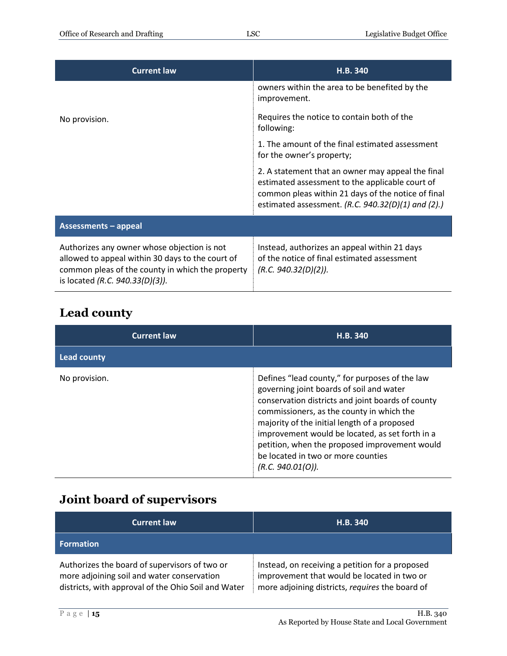| <b>Current law</b>                                                                                                                                                                     | H.B. 340                                                                                                                                                                                                           |
|----------------------------------------------------------------------------------------------------------------------------------------------------------------------------------------|--------------------------------------------------------------------------------------------------------------------------------------------------------------------------------------------------------------------|
|                                                                                                                                                                                        | owners within the area to be benefited by the<br>improvement.                                                                                                                                                      |
| No provision.                                                                                                                                                                          | Requires the notice to contain both of the<br>following:                                                                                                                                                           |
|                                                                                                                                                                                        | 1. The amount of the final estimated assessment<br>for the owner's property;                                                                                                                                       |
|                                                                                                                                                                                        | 2. A statement that an owner may appeal the final<br>estimated assessment to the applicable court of<br>common pleas within 21 days of the notice of final<br>estimated assessment. (R.C. $940.32(D)(1)$ and (2).) |
| <b>Assessments - appeal</b>                                                                                                                                                            |                                                                                                                                                                                                                    |
| Authorizes any owner whose objection is not<br>allowed to appeal within 30 days to the court of<br>common pleas of the county in which the property<br>is located (R.C. 940.33(D)(3)). | Instead, authorizes an appeal within 21 days<br>of the notice of final estimated assessment<br>(R.C. 940.32(D)(2)).                                                                                                |

## <span id="page-14-0"></span>**Lead county**

| <b>Current law</b> | H.B. 340                                                                                                                                                                                                                                                                                                                                                                                                    |
|--------------------|-------------------------------------------------------------------------------------------------------------------------------------------------------------------------------------------------------------------------------------------------------------------------------------------------------------------------------------------------------------------------------------------------------------|
| <b>Lead county</b> |                                                                                                                                                                                                                                                                                                                                                                                                             |
| No provision.      | Defines "lead county," for purposes of the law<br>governing joint boards of soil and water<br>conservation districts and joint boards of county<br>commissioners, as the county in which the<br>majority of the initial length of a proposed<br>improvement would be located, as set forth in a<br>petition, when the proposed improvement would<br>be located in two or more counties<br>(R.C. 940.01(O)). |

## <span id="page-14-1"></span>**Joint board of supervisors**

| <b>Current law</b>                                                                                                                                 | H.B. 340                                                                                                                                          |
|----------------------------------------------------------------------------------------------------------------------------------------------------|---------------------------------------------------------------------------------------------------------------------------------------------------|
| <b>Formation</b>                                                                                                                                   |                                                                                                                                                   |
| Authorizes the board of supervisors of two or<br>more adjoining soil and water conservation<br>districts, with approval of the Ohio Soil and Water | Instead, on receiving a petition for a proposed<br>improvement that would be located in two or<br>more adjoining districts, requires the board of |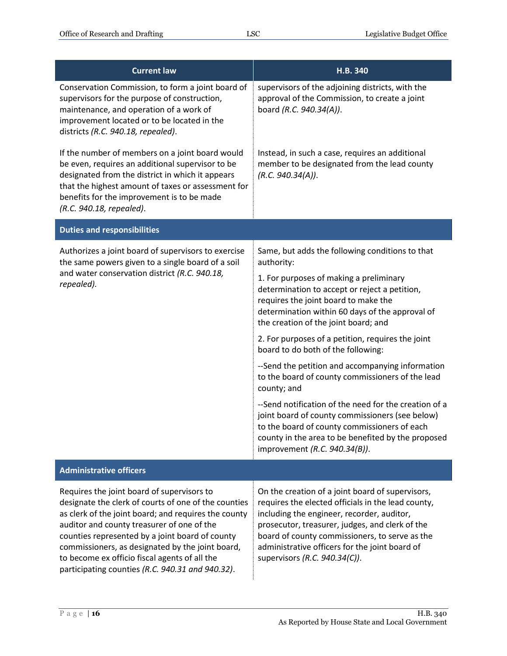| <b>Current law</b>                                                                                                                                                                                                                                                                                                                                                                                                   | H.B. 340                                                                                                                                                                                                                                                                                                                                     |
|----------------------------------------------------------------------------------------------------------------------------------------------------------------------------------------------------------------------------------------------------------------------------------------------------------------------------------------------------------------------------------------------------------------------|----------------------------------------------------------------------------------------------------------------------------------------------------------------------------------------------------------------------------------------------------------------------------------------------------------------------------------------------|
| Conservation Commission, to form a joint board of<br>supervisors for the purpose of construction,<br>maintenance, and operation of a work of<br>improvement located or to be located in the<br>districts (R.C. 940.18, repealed).                                                                                                                                                                                    | supervisors of the adjoining districts, with the<br>approval of the Commission, to create a joint<br>board (R.C. 940.34(A)).                                                                                                                                                                                                                 |
| If the number of members on a joint board would<br>be even, requires an additional supervisor to be<br>designated from the district in which it appears<br>that the highest amount of taxes or assessment for<br>benefits for the improvement is to be made<br>(R.C. 940.18, repealed).                                                                                                                              | Instead, in such a case, requires an additional<br>member to be designated from the lead county<br>(R.C. 940.34(A)).                                                                                                                                                                                                                         |
| <b>Duties and responsibilities</b>                                                                                                                                                                                                                                                                                                                                                                                   |                                                                                                                                                                                                                                                                                                                                              |
| Authorizes a joint board of supervisors to exercise<br>the same powers given to a single board of a soil<br>and water conservation district (R.C. 940.18,<br>repealed).                                                                                                                                                                                                                                              | Same, but adds the following conditions to that<br>authority:                                                                                                                                                                                                                                                                                |
|                                                                                                                                                                                                                                                                                                                                                                                                                      | 1. For purposes of making a preliminary<br>determination to accept or reject a petition,<br>requires the joint board to make the<br>determination within 60 days of the approval of<br>the creation of the joint board; and                                                                                                                  |
|                                                                                                                                                                                                                                                                                                                                                                                                                      | 2. For purposes of a petition, requires the joint<br>board to do both of the following:                                                                                                                                                                                                                                                      |
|                                                                                                                                                                                                                                                                                                                                                                                                                      | --Send the petition and accompanying information<br>to the board of county commissioners of the lead<br>county; and                                                                                                                                                                                                                          |
|                                                                                                                                                                                                                                                                                                                                                                                                                      | --Send notification of the need for the creation of a<br>joint board of county commissioners (see below)<br>to the board of county commissioners of each<br>county in the area to be benefited by the proposed<br>improvement (R.C. 940.34(B)).                                                                                              |
| <b>Administrative officers</b>                                                                                                                                                                                                                                                                                                                                                                                       |                                                                                                                                                                                                                                                                                                                                              |
| Requires the joint board of supervisors to<br>designate the clerk of courts of one of the counties<br>as clerk of the joint board; and requires the county<br>auditor and county treasurer of one of the<br>counties represented by a joint board of county<br>commissioners, as designated by the joint board,<br>to become ex officio fiscal agents of all the<br>participating counties (R.C. 940.31 and 940.32). | On the creation of a joint board of supervisors,<br>requires the elected officials in the lead county,<br>including the engineer, recorder, auditor,<br>prosecutor, treasurer, judges, and clerk of the<br>board of county commissioners, to serve as the<br>administrative officers for the joint board of<br>supervisors (R.C. 940.34(C)). |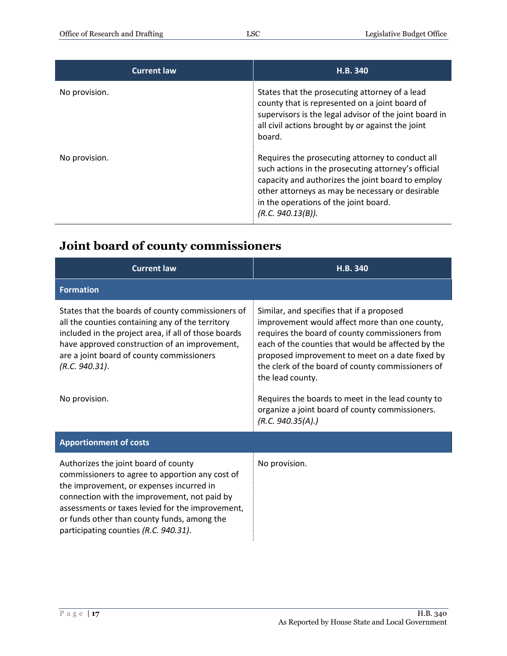| <b>Current law</b> | H.B. 340                                                                                                                                                                                                                                                                       |
|--------------------|--------------------------------------------------------------------------------------------------------------------------------------------------------------------------------------------------------------------------------------------------------------------------------|
| No provision.      | States that the prosecuting attorney of a lead<br>county that is represented on a joint board of<br>supervisors is the legal advisor of the joint board in<br>all civil actions brought by or against the joint<br>board.                                                      |
| No provision.      | Requires the prosecuting attorney to conduct all<br>such actions in the prosecuting attorney's official<br>capacity and authorizes the joint board to employ<br>other attorneys as may be necessary or desirable<br>in the operations of the joint board.<br>(R.C. 940.13(B)). |

## <span id="page-16-0"></span>**Joint board of county commissioners**

| <b>Current law</b>                                                                                                                                                                                                                                                                                                              | H.B. 340                                                                                                                                                                                                                                                                                                                         |
|---------------------------------------------------------------------------------------------------------------------------------------------------------------------------------------------------------------------------------------------------------------------------------------------------------------------------------|----------------------------------------------------------------------------------------------------------------------------------------------------------------------------------------------------------------------------------------------------------------------------------------------------------------------------------|
| <b>Formation</b>                                                                                                                                                                                                                                                                                                                |                                                                                                                                                                                                                                                                                                                                  |
| States that the boards of county commissioners of<br>all the counties containing any of the territory<br>included in the project area, if all of those boards<br>have approved construction of an improvement,<br>are a joint board of county commissioners<br>(R.C. 940.31).                                                   | Similar, and specifies that if a proposed<br>improvement would affect more than one county,<br>requires the board of county commissioners from<br>each of the counties that would be affected by the<br>proposed improvement to meet on a date fixed by<br>the clerk of the board of county commissioners of<br>the lead county. |
| No provision.                                                                                                                                                                                                                                                                                                                   | Requires the boards to meet in the lead county to<br>organize a joint board of county commissioners.<br>(R.C. 940.35(A).)                                                                                                                                                                                                        |
| <b>Apportionment of costs</b>                                                                                                                                                                                                                                                                                                   |                                                                                                                                                                                                                                                                                                                                  |
| Authorizes the joint board of county<br>commissioners to agree to apportion any cost of<br>the improvement, or expenses incurred in<br>connection with the improvement, not paid by<br>assessments or taxes levied for the improvement,<br>or funds other than county funds, among the<br>participating counties (R.C. 940.31). | No provision.                                                                                                                                                                                                                                                                                                                    |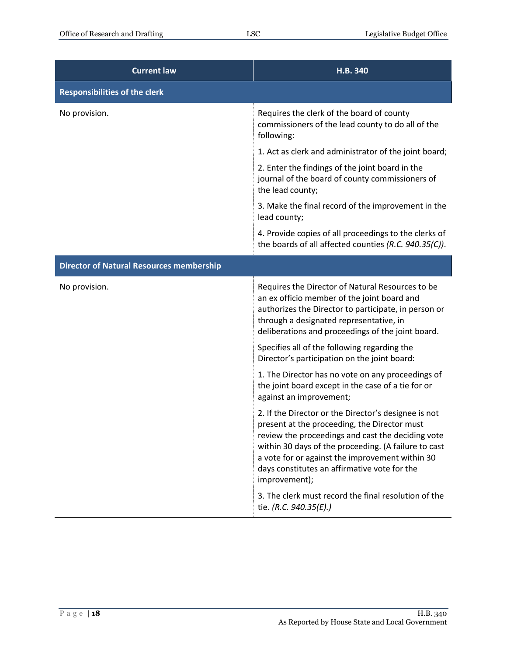| <b>Current law</b>                              | H.B. 340                                                                                                                                                                                                                                                                                                                              |
|-------------------------------------------------|---------------------------------------------------------------------------------------------------------------------------------------------------------------------------------------------------------------------------------------------------------------------------------------------------------------------------------------|
| <b>Responsibilities of the clerk</b>            |                                                                                                                                                                                                                                                                                                                                       |
| No provision.                                   | Requires the clerk of the board of county<br>commissioners of the lead county to do all of the<br>following:                                                                                                                                                                                                                          |
|                                                 | 1. Act as clerk and administrator of the joint board;                                                                                                                                                                                                                                                                                 |
|                                                 | 2. Enter the findings of the joint board in the<br>journal of the board of county commissioners of<br>the lead county;                                                                                                                                                                                                                |
|                                                 | 3. Make the final record of the improvement in the<br>lead county;                                                                                                                                                                                                                                                                    |
|                                                 | 4. Provide copies of all proceedings to the clerks of<br>the boards of all affected counties (R.C. 940.35(C)).                                                                                                                                                                                                                        |
| <b>Director of Natural Resources membership</b> |                                                                                                                                                                                                                                                                                                                                       |
| No provision.                                   | Requires the Director of Natural Resources to be<br>an ex officio member of the joint board and<br>authorizes the Director to participate, in person or<br>through a designated representative, in<br>deliberations and proceedings of the joint board.                                                                               |
|                                                 | Specifies all of the following regarding the<br>Director's participation on the joint board:                                                                                                                                                                                                                                          |
|                                                 | 1. The Director has no vote on any proceedings of<br>the joint board except in the case of a tie for or<br>against an improvement;                                                                                                                                                                                                    |
|                                                 | 2. If the Director or the Director's designee is not<br>present at the proceeding, the Director must<br>review the proceedings and cast the deciding vote<br>within 30 days of the proceeding. (A failure to cast<br>a vote for or against the improvement within 30<br>days constitutes an affirmative vote for the<br>improvement); |
|                                                 | 3. The clerk must record the final resolution of the<br>tie. (R.C. 940.35(E).)                                                                                                                                                                                                                                                        |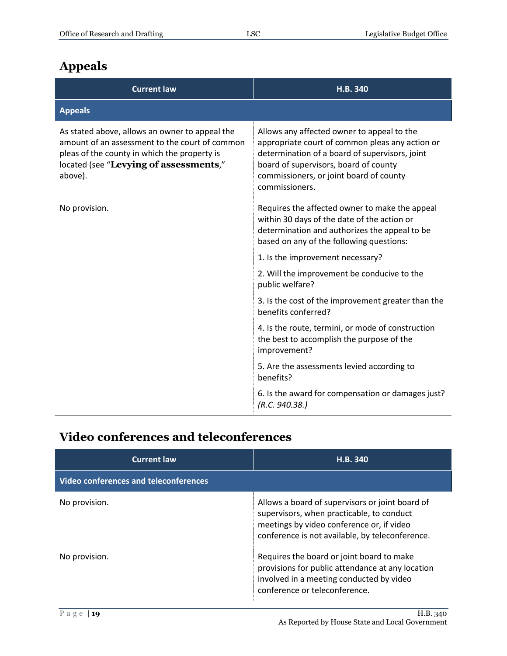## <span id="page-18-0"></span>**Appeals**

| <b>Current law</b>                                                                                                                                                                                    | H.B. 340                                                                                                                                                                                                                                              |
|-------------------------------------------------------------------------------------------------------------------------------------------------------------------------------------------------------|-------------------------------------------------------------------------------------------------------------------------------------------------------------------------------------------------------------------------------------------------------|
| <b>Appeals</b>                                                                                                                                                                                        |                                                                                                                                                                                                                                                       |
| As stated above, allows an owner to appeal the<br>amount of an assessment to the court of common<br>pleas of the county in which the property is<br>located (see "Levying of assessments,"<br>above). | Allows any affected owner to appeal to the<br>appropriate court of common pleas any action or<br>determination of a board of supervisors, joint<br>board of supervisors, board of county<br>commissioners, or joint board of county<br>commissioners. |
| No provision.                                                                                                                                                                                         | Requires the affected owner to make the appeal<br>within 30 days of the date of the action or<br>determination and authorizes the appeal to be<br>based on any of the following questions:                                                            |
|                                                                                                                                                                                                       | 1. Is the improvement necessary?                                                                                                                                                                                                                      |
|                                                                                                                                                                                                       | 2. Will the improvement be conducive to the<br>public welfare?                                                                                                                                                                                        |
|                                                                                                                                                                                                       | 3. Is the cost of the improvement greater than the<br>benefits conferred?                                                                                                                                                                             |
|                                                                                                                                                                                                       | 4. Is the route, termini, or mode of construction<br>the best to accomplish the purpose of the<br>improvement?                                                                                                                                        |
|                                                                                                                                                                                                       | 5. Are the assessments levied according to<br>benefits?                                                                                                                                                                                               |
|                                                                                                                                                                                                       | 6. Is the award for compensation or damages just?<br>(R.C. 940.38.)                                                                                                                                                                                   |

## <span id="page-18-1"></span>**Video conferences and teleconferences**

| <b>Current law</b>                           | H.B. 340                                                                                                                                                                                     |
|----------------------------------------------|----------------------------------------------------------------------------------------------------------------------------------------------------------------------------------------------|
| <b>Video conferences and teleconferences</b> |                                                                                                                                                                                              |
| No provision.                                | Allows a board of supervisors or joint board of<br>supervisors, when practicable, to conduct<br>meetings by video conference or, if video<br>conference is not available, by teleconference. |
| No provision.                                | Requires the board or joint board to make<br>provisions for public attendance at any location<br>involved in a meeting conducted by video<br>conference or teleconference.                   |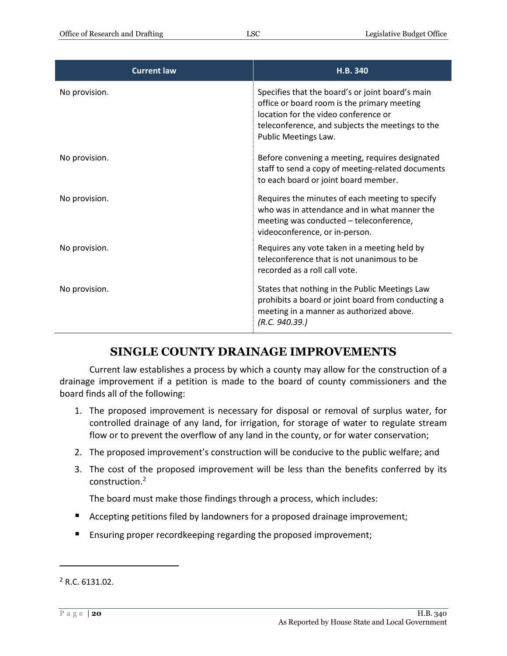| <b>Current law</b> | H.B. 340                                                                                                                                                                                                            |
|--------------------|---------------------------------------------------------------------------------------------------------------------------------------------------------------------------------------------------------------------|
| No provision.      | Specifies that the board's or joint board's main<br>office or board room is the primary meeting<br>location for the video conference or<br>teleconference, and subjects the meetings to the<br>Public Meetings Law. |
| No provision.      | Before convening a meeting, requires designated<br>staff to send a copy of meeting-related documents<br>to each board or joint board member.                                                                        |
| No provision.      | Requires the minutes of each meeting to specify<br>who was in attendance and in what manner the<br>meeting was conducted - teleconference,<br>videoconference, or in-person.                                        |
| No provision.      | Requires any vote taken in a meeting held by<br>teleconference that is not unanimous to be<br>recorded as a roll call vote.                                                                                         |
| No provision.      | States that nothing in the Public Meetings Law<br>prohibits a board or joint board from conducting a<br>meeting in a manner as authorized above.<br>(R.C. 940.39.)                                                  |

#### **SINGLE COUNTY DRAINAGE IMPROVEMENTS**

<span id="page-19-0"></span>Current law establishes a process by which a county may allow for the construction of a drainage improvement if a petition is made to the board of county commissioners and the board finds all of the following:

- 1. The proposed improvement is necessary for disposal or removal of surplus water, for controlled drainage of any land, for irrigation, for storage of water to regulate stream flow or to prevent the overflow of any land in the county, or for water conservation;
- 2. The proposed improvement's construction will be conducive to the public welfare; and
- 3. The cost of the proposed improvement will be less than the benefits conferred by its construction.<sup>2</sup>

The board must make those findings through a process, which includes:

- Accepting petitions filed by landowners for a proposed drainage improvement;
- **Ensuring proper recordkeeping regarding the proposed improvement;**

 $\overline{a}$ 

<sup>2</sup> R.C. 6131.02.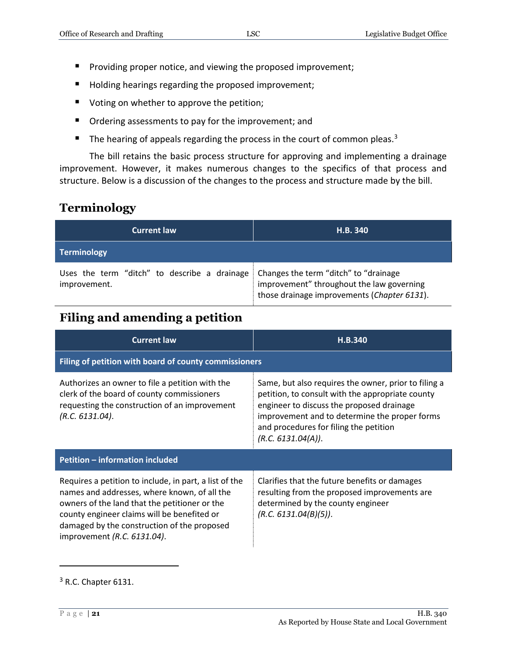- **Providing proper notice, and viewing the proposed improvement;**
- Holding hearings regarding the proposed improvement;
- Voting on whether to approve the petition;
- Ordering assessments to pay for the improvement; and
- $\blacksquare$  The hearing of appeals regarding the process in the court of common pleas.<sup>3</sup>

The bill retains the basic process structure for approving and implementing a drainage improvement. However, it makes numerous changes to the specifics of that process and structure. Below is a discussion of the changes to the process and structure made by the bill.

#### <span id="page-20-0"></span>**Terminology**

| <b>Current law</b>                                           | H.B. 340                                                                                                                          |
|--------------------------------------------------------------|-----------------------------------------------------------------------------------------------------------------------------------|
| <b>Terminology</b>                                           |                                                                                                                                   |
| Uses the term "ditch" to describe a drainage<br>improvement. | Changes the term "ditch" to "drainage<br>improvement" throughout the law governing<br>those drainage improvements (Chapter 6131). |

#### <span id="page-20-1"></span>**Filing and amending a petition**

| <b>Current law</b>                                                                                                                                                                                                                                                                   | H.B.340                                                                                                                                                                                                                                                                |  |
|--------------------------------------------------------------------------------------------------------------------------------------------------------------------------------------------------------------------------------------------------------------------------------------|------------------------------------------------------------------------------------------------------------------------------------------------------------------------------------------------------------------------------------------------------------------------|--|
| Filing of petition with board of county commissioners                                                                                                                                                                                                                                |                                                                                                                                                                                                                                                                        |  |
| Authorizes an owner to file a petition with the<br>clerk of the board of county commissioners<br>requesting the construction of an improvement<br>(R.C. 6131.04).                                                                                                                    | Same, but also requires the owner, prior to filing a<br>petition, to consult with the appropriate county<br>engineer to discuss the proposed drainage<br>improvement and to determine the proper forms<br>and procedures for filing the petition<br>(R.C. 6131.04(A)). |  |
| Petition - information included                                                                                                                                                                                                                                                      |                                                                                                                                                                                                                                                                        |  |
| Requires a petition to include, in part, a list of the<br>names and addresses, where known, of all the<br>owners of the land that the petitioner or the<br>county engineer claims will be benefited or<br>damaged by the construction of the proposed<br>improvement (R.C. 6131.04). | Clarifies that the future benefits or damages<br>resulting from the proposed improvements are<br>determined by the county engineer<br>(R.C. 6131.04(B)(5)).                                                                                                            |  |

<sup>&</sup>lt;sup>3</sup> R.C. Chapter 6131.

 $\overline{a}$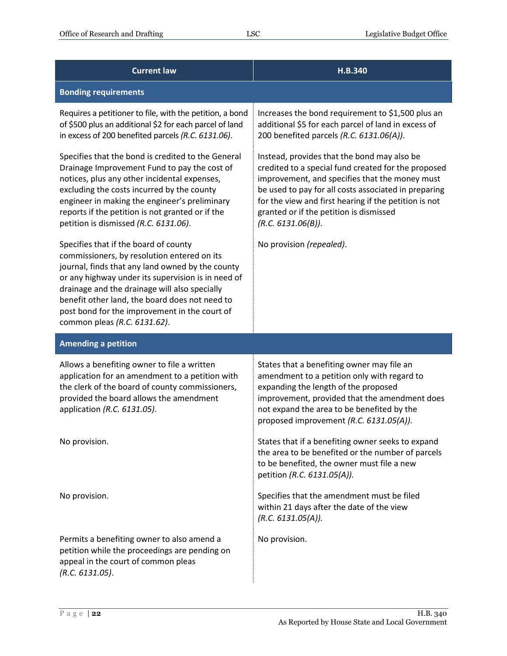| <b>Current law</b>                                                                                                                                                                                                                                                                                                                                                                 | H.B.340                                                                                                                                                                                                                                                                                                                                |
|------------------------------------------------------------------------------------------------------------------------------------------------------------------------------------------------------------------------------------------------------------------------------------------------------------------------------------------------------------------------------------|----------------------------------------------------------------------------------------------------------------------------------------------------------------------------------------------------------------------------------------------------------------------------------------------------------------------------------------|
| <b>Bonding requirements</b>                                                                                                                                                                                                                                                                                                                                                        |                                                                                                                                                                                                                                                                                                                                        |
| Requires a petitioner to file, with the petition, a bond<br>of \$500 plus an additional \$2 for each parcel of land<br>in excess of 200 benefited parcels (R.C. 6131.06).                                                                                                                                                                                                          | Increases the bond requirement to \$1,500 plus an<br>additional \$5 for each parcel of land in excess of<br>200 benefited parcels (R.C. 6131.06(A)).                                                                                                                                                                                   |
| Specifies that the bond is credited to the General<br>Drainage Improvement Fund to pay the cost of<br>notices, plus any other incidental expenses,<br>excluding the costs incurred by the county<br>engineer in making the engineer's preliminary<br>reports if the petition is not granted or if the<br>petition is dismissed (R.C. 6131.06).                                     | Instead, provides that the bond may also be<br>credited to a special fund created for the proposed<br>improvement, and specifies that the money must<br>be used to pay for all costs associated in preparing<br>for the view and first hearing if the petition is not<br>granted or if the petition is dismissed<br>(R.C. 6131.06(B)). |
| Specifies that if the board of county<br>commissioners, by resolution entered on its<br>journal, finds that any land owned by the county<br>or any highway under its supervision is in need of<br>drainage and the drainage will also specially<br>benefit other land, the board does not need to<br>post bond for the improvement in the court of<br>common pleas (R.C. 6131.62). | No provision (repealed).                                                                                                                                                                                                                                                                                                               |
| <b>Amending a petition</b>                                                                                                                                                                                                                                                                                                                                                         |                                                                                                                                                                                                                                                                                                                                        |
| Allows a benefiting owner to file a written<br>application for an amendment to a petition with<br>the clerk of the board of county commissioners,<br>provided the board allows the amendment<br>application (R.C. 6131.05).                                                                                                                                                        | States that a benefiting owner may file an<br>amendment to a petition only with regard to<br>expanding the length of the proposed<br>improvement, provided that the amendment does<br>not expand the area to be benefited by the<br>proposed improvement (R.C. 6131.05(A)).                                                            |
| No provision.                                                                                                                                                                                                                                                                                                                                                                      | States that if a benefiting owner seeks to expand<br>the area to be benefited or the number of parcels<br>to be benefited, the owner must file a new<br>petition (R.C. 6131.05(A)).                                                                                                                                                    |
| No provision.                                                                                                                                                                                                                                                                                                                                                                      | Specifies that the amendment must be filed<br>within 21 days after the date of the view<br>(R.C. 6131.05(A)).                                                                                                                                                                                                                          |
| Permits a benefiting owner to also amend a<br>petition while the proceedings are pending on<br>appeal in the court of common pleas<br>(R.C. 6131.05).                                                                                                                                                                                                                              | No provision.                                                                                                                                                                                                                                                                                                                          |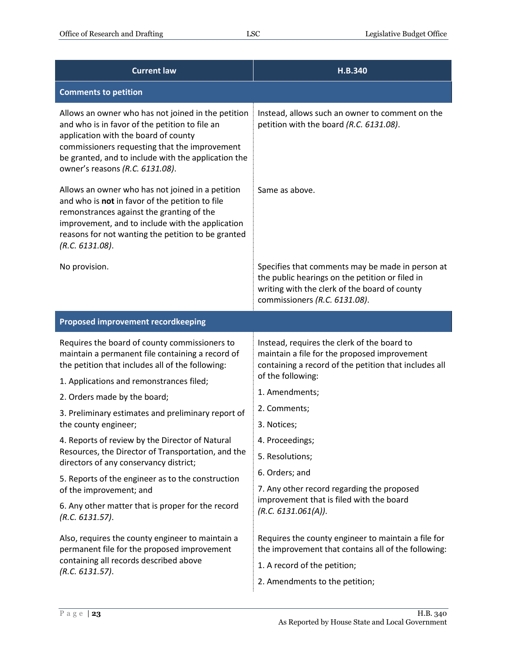| <b>Current law</b>                                                                                                                                                                                                                                                                      | H.B.340                                                                                                                                                                               |
|-----------------------------------------------------------------------------------------------------------------------------------------------------------------------------------------------------------------------------------------------------------------------------------------|---------------------------------------------------------------------------------------------------------------------------------------------------------------------------------------|
| <b>Comments to petition</b>                                                                                                                                                                                                                                                             |                                                                                                                                                                                       |
| Allows an owner who has not joined in the petition<br>and who is in favor of the petition to file an<br>application with the board of county<br>commissioners requesting that the improvement<br>be granted, and to include with the application the<br>owner's reasons (R.C. 6131.08). | Instead, allows such an owner to comment on the<br>petition with the board (R.C. 6131.08).                                                                                            |
| Allows an owner who has not joined in a petition<br>and who is not in favor of the petition to file<br>remonstrances against the granting of the<br>improvement, and to include with the application<br>reasons for not wanting the petition to be granted<br>(R.C. 6131.08).           | Same as above.                                                                                                                                                                        |
| No provision.                                                                                                                                                                                                                                                                           | Specifies that comments may be made in person at<br>the public hearings on the petition or filed in<br>writing with the clerk of the board of county<br>commissioners (R.C. 6131.08). |
| <b>Proposed improvement recordkeeping</b>                                                                                                                                                                                                                                               |                                                                                                                                                                                       |
| Requires the board of county commissioners to<br>maintain a permanent file containing a record of<br>the petition that includes all of the following:                                                                                                                                   | Instead, requires the clerk of the board to<br>maintain a file for the proposed improvement<br>containing a record of the petition that includes all<br>of the following:             |
| 1. Applications and remonstrances filed;                                                                                                                                                                                                                                                | 1. Amendments;                                                                                                                                                                        |
| 2. Orders made by the board;<br>3. Preliminary estimates and preliminary report of                                                                                                                                                                                                      | 2. Comments;                                                                                                                                                                          |
| the county engineer;                                                                                                                                                                                                                                                                    | 3. Notices;                                                                                                                                                                           |
| 4. Reports of review by the Director of Natural                                                                                                                                                                                                                                         | 4. Proceedings;                                                                                                                                                                       |
| Resources, the Director of Transportation, and the<br>directors of any conservancy district;                                                                                                                                                                                            | 5. Resolutions;                                                                                                                                                                       |
| 5. Reports of the engineer as to the construction                                                                                                                                                                                                                                       | 6. Orders; and                                                                                                                                                                        |
| of the improvement; and                                                                                                                                                                                                                                                                 | 7. Any other record regarding the proposed<br>improvement that is filed with the board                                                                                                |
| 6. Any other matter that is proper for the record<br>(R.C. 6131.57).                                                                                                                                                                                                                    | (R.C. 6131.061(A)).                                                                                                                                                                   |
| Also, requires the county engineer to maintain a<br>permanent file for the proposed improvement<br>containing all records described above<br>(R.C. 6131.57).                                                                                                                            | Requires the county engineer to maintain a file for<br>the improvement that contains all of the following:<br>1. A record of the petition;                                            |
|                                                                                                                                                                                                                                                                                         | 2. Amendments to the petition;                                                                                                                                                        |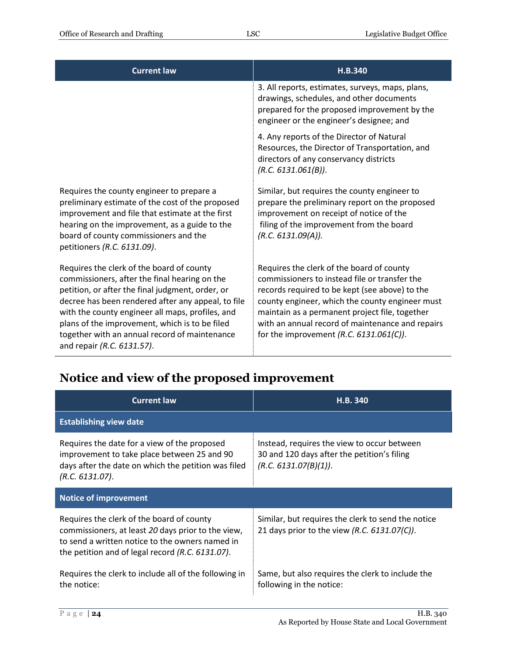| <b>Current law</b>                                                                                                                                                                                                                                                                                                                                                                        | H.B.340                                                                                                                                                                                                                                                                                                                                            |
|-------------------------------------------------------------------------------------------------------------------------------------------------------------------------------------------------------------------------------------------------------------------------------------------------------------------------------------------------------------------------------------------|----------------------------------------------------------------------------------------------------------------------------------------------------------------------------------------------------------------------------------------------------------------------------------------------------------------------------------------------------|
|                                                                                                                                                                                                                                                                                                                                                                                           | 3. All reports, estimates, surveys, maps, plans,<br>drawings, schedules, and other documents<br>prepared for the proposed improvement by the<br>engineer or the engineer's designee; and                                                                                                                                                           |
|                                                                                                                                                                                                                                                                                                                                                                                           | 4. Any reports of the Director of Natural<br>Resources, the Director of Transportation, and<br>directors of any conservancy districts<br>(R.C. 6131.061(B)).                                                                                                                                                                                       |
| Requires the county engineer to prepare a<br>preliminary estimate of the cost of the proposed<br>improvement and file that estimate at the first<br>hearing on the improvement, as a guide to the<br>board of county commissioners and the<br>petitioners (R.C. 6131.09).                                                                                                                 | Similar, but requires the county engineer to<br>prepare the preliminary report on the proposed<br>improvement on receipt of notice of the<br>filing of the improvement from the board<br>(R.C. 6131.09(A)).                                                                                                                                        |
| Requires the clerk of the board of county<br>commissioners, after the final hearing on the<br>petition, or after the final judgment, order, or<br>decree has been rendered after any appeal, to file<br>with the county engineer all maps, profiles, and<br>plans of the improvement, which is to be filed<br>together with an annual record of maintenance<br>and repair (R.C. 6131.57). | Requires the clerk of the board of county<br>commissioners to instead file or transfer the<br>records required to be kept (see above) to the<br>county engineer, which the county engineer must<br>maintain as a permanent project file, together<br>with an annual record of maintenance and repairs<br>for the improvement $(R.C. 6131.061(C)).$ |

## <span id="page-23-0"></span>**Notice and view of the proposed improvement**

| <b>Current law</b>                                                                                                                                                                                     | <b>H.B. 340</b>                                                                                                     |  |
|--------------------------------------------------------------------------------------------------------------------------------------------------------------------------------------------------------|---------------------------------------------------------------------------------------------------------------------|--|
| <b>Establishing view date</b>                                                                                                                                                                          |                                                                                                                     |  |
| Requires the date for a view of the proposed<br>improvement to take place between 25 and 90<br>days after the date on which the petition was filed<br>(R.C. 6131.07).                                  | Instead, requires the view to occur between<br>30 and 120 days after the petition's filing<br>(R.C. 6131.07(B)(1)). |  |
| <b>Notice of improvement</b>                                                                                                                                                                           |                                                                                                                     |  |
| Requires the clerk of the board of county<br>commissioners, at least 20 days prior to the view,<br>to send a written notice to the owners named in<br>the petition and of legal record (R.C. 6131.07). | Similar, but requires the clerk to send the notice<br>21 days prior to the view (R.C. 6131.07(C)).                  |  |
| Requires the clerk to include all of the following in<br>the notice:                                                                                                                                   | Same, but also requires the clerk to include the<br>following in the notice:                                        |  |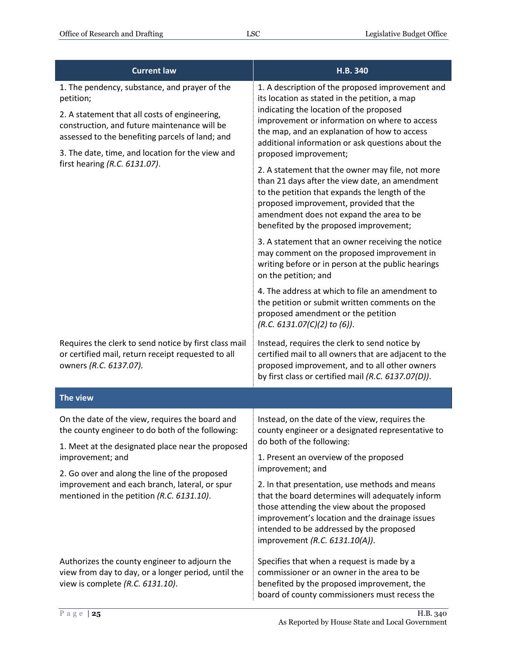| <b>Current law</b>                                                                                                                                                                                                                                                                                  | H.B. 340                                                                                                                                                                                                                                                                                                                    |
|-----------------------------------------------------------------------------------------------------------------------------------------------------------------------------------------------------------------------------------------------------------------------------------------------------|-----------------------------------------------------------------------------------------------------------------------------------------------------------------------------------------------------------------------------------------------------------------------------------------------------------------------------|
| 1. The pendency, substance, and prayer of the<br>petition;<br>2. A statement that all costs of engineering,<br>construction, and future maintenance will be<br>assessed to the benefiting parcels of land; and<br>3. The date, time, and location for the view and<br>first hearing (R.C. 6131.07). | 1. A description of the proposed improvement and<br>its location as stated in the petition, a map<br>indicating the location of the proposed<br>improvement or information on where to access<br>the map, and an explanation of how to access<br>additional information or ask questions about the<br>proposed improvement; |
|                                                                                                                                                                                                                                                                                                     | 2. A statement that the owner may file, not more<br>than 21 days after the view date, an amendment<br>to the petition that expands the length of the<br>proposed improvement, provided that the<br>amendment does not expand the area to be<br>benefited by the proposed improvement;                                       |
|                                                                                                                                                                                                                                                                                                     | 3. A statement that an owner receiving the notice<br>may comment on the proposed improvement in<br>writing before or in person at the public hearings<br>on the petition; and                                                                                                                                               |
|                                                                                                                                                                                                                                                                                                     | 4. The address at which to file an amendment to<br>the petition or submit written comments on the<br>proposed amendment or the petition<br>(R.C. 6131.07(C)(2) to (6)).                                                                                                                                                     |
| Requires the clerk to send notice by first class mail<br>or certified mail, return receipt requested to all<br>owners (R.C. 6137.07).                                                                                                                                                               | Instead, requires the clerk to send notice by<br>certified mail to all owners that are adjacent to the<br>proposed improvement, and to all other owners<br>by first class or certified mail (R.C. 6137.07(D)).                                                                                                              |
| The view                                                                                                                                                                                                                                                                                            |                                                                                                                                                                                                                                                                                                                             |
| On the date of the view, requires the board and<br>the county engineer to do both of the following:<br>1. Meet at the designated place near the proposed                                                                                                                                            | Instead, on the date of the view, requires the<br>county engineer or a designated representative to<br>do both of the following:                                                                                                                                                                                            |
| improvement; and                                                                                                                                                                                                                                                                                    | 1. Present an overview of the proposed<br>improvement; and                                                                                                                                                                                                                                                                  |
| 2. Go over and along the line of the proposed<br>improvement and each branch, lateral, or spur<br>mentioned in the petition (R.C. 6131.10).                                                                                                                                                         | 2. In that presentation, use methods and means<br>that the board determines will adequately inform<br>those attending the view about the proposed<br>improvement's location and the drainage issues<br>intended to be addressed by the proposed<br>improvement (R.C. 6131.10(A)).                                           |
| Authorizes the county engineer to adjourn the<br>view from day to day, or a longer period, until the<br>view is complete (R.C. 6131.10).                                                                                                                                                            | Specifies that when a request is made by a<br>commissioner or an owner in the area to be<br>benefited by the proposed improvement, the<br>board of county commissioners must recess the                                                                                                                                     |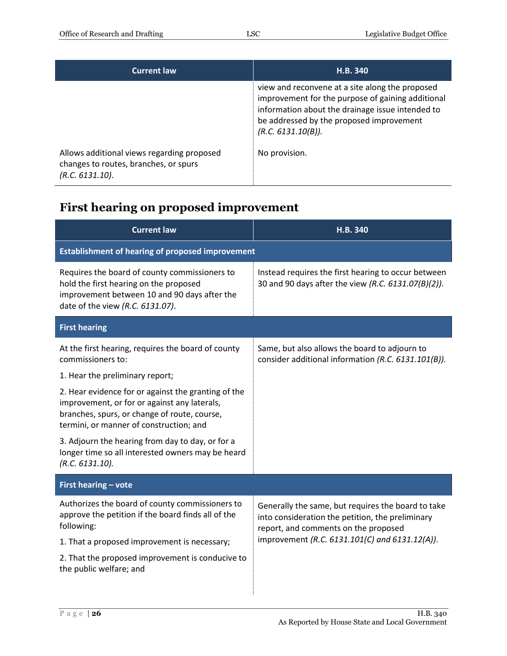| <b>Current law</b>                                                                                     | H.B. 340                                                                                                                                                                                                                   |
|--------------------------------------------------------------------------------------------------------|----------------------------------------------------------------------------------------------------------------------------------------------------------------------------------------------------------------------------|
|                                                                                                        | view and reconvene at a site along the proposed<br>improvement for the purpose of gaining additional<br>information about the drainage issue intended to<br>be addressed by the proposed improvement<br>(R.C. 6131.10(B)). |
| Allows additional views regarding proposed<br>changes to routes, branches, or spurs<br>(R.C. 6131.10). | No provision.                                                                                                                                                                                                              |

## <span id="page-25-0"></span>**First hearing on proposed improvement**

| <b>Current law</b>                                                                                                                                                                             | H.B. 340                                                                                                                                       |
|------------------------------------------------------------------------------------------------------------------------------------------------------------------------------------------------|------------------------------------------------------------------------------------------------------------------------------------------------|
| <b>Establishment of hearing of proposed improvement</b>                                                                                                                                        |                                                                                                                                                |
| Requires the board of county commissioners to<br>hold the first hearing on the proposed<br>improvement between 10 and 90 days after the<br>date of the view (R.C. 6131.07).                    | Instead requires the first hearing to occur between<br>30 and 90 days after the view (R.C. 6131.07(B)(2)).                                     |
| <b>First hearing</b>                                                                                                                                                                           |                                                                                                                                                |
| At the first hearing, requires the board of county<br>commissioners to:                                                                                                                        | Same, but also allows the board to adjourn to<br>consider additional information (R.C. 6131.101(B)).                                           |
| 1. Hear the preliminary report;                                                                                                                                                                |                                                                                                                                                |
| 2. Hear evidence for or against the granting of the<br>improvement, or for or against any laterals,<br>branches, spurs, or change of route, course,<br>termini, or manner of construction; and |                                                                                                                                                |
| 3. Adjourn the hearing from day to day, or for a<br>longer time so all interested owners may be heard<br>(R.C. 6131.10).                                                                       |                                                                                                                                                |
| First hearing - vote                                                                                                                                                                           |                                                                                                                                                |
| Authorizes the board of county commissioners to<br>approve the petition if the board finds all of the<br>following:                                                                            | Generally the same, but requires the board to take<br>into consideration the petition, the preliminary<br>report, and comments on the proposed |
| 1. That a proposed improvement is necessary;                                                                                                                                                   | improvement (R.C. 6131.101(C) and 6131.12(A)).                                                                                                 |
| 2. That the proposed improvement is conducive to<br>the public welfare; and                                                                                                                    |                                                                                                                                                |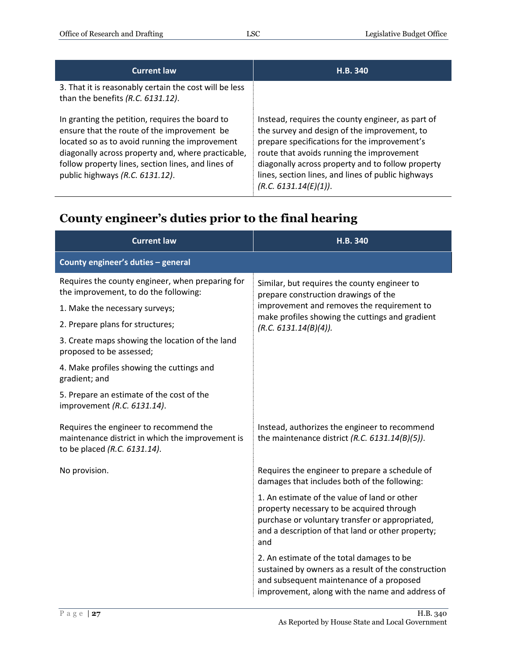| <b>Current law</b>                                                                                                                                                                                                                                                                              | H.B. 340                                                                                                                                                                                                                                                                                                                           |
|-------------------------------------------------------------------------------------------------------------------------------------------------------------------------------------------------------------------------------------------------------------------------------------------------|------------------------------------------------------------------------------------------------------------------------------------------------------------------------------------------------------------------------------------------------------------------------------------------------------------------------------------|
| 3. That it is reasonably certain the cost will be less<br>than the benefits (R.C. 6131.12).                                                                                                                                                                                                     |                                                                                                                                                                                                                                                                                                                                    |
| In granting the petition, requires the board to<br>ensure that the route of the improvement be<br>located so as to avoid running the improvement<br>diagonally across property and, where practicable,<br>follow property lines, section lines, and lines of<br>public highways (R.C. 6131.12). | Instead, requires the county engineer, as part of<br>the survey and design of the improvement, to<br>prepare specifications for the improvement's<br>route that avoids running the improvement<br>diagonally across property and to follow property<br>lines, section lines, and lines of public highways<br>(R.C. 6131.14(E)(1)). |

## <span id="page-26-0"></span>**County engineer's duties prior to the final hearing**

| <b>Current law</b>                                                                                                         | H.B. 340                                                                                                                                                                                                 |
|----------------------------------------------------------------------------------------------------------------------------|----------------------------------------------------------------------------------------------------------------------------------------------------------------------------------------------------------|
| County engineer's duties - general                                                                                         |                                                                                                                                                                                                          |
| Requires the county engineer, when preparing for<br>the improvement, to do the following:                                  | Similar, but requires the county engineer to<br>prepare construction drawings of the                                                                                                                     |
| 1. Make the necessary surveys;                                                                                             | improvement and removes the requirement to                                                                                                                                                               |
| 2. Prepare plans for structures;                                                                                           | make profiles showing the cuttings and gradient<br>(R.C. 6131.14(B)(4)).                                                                                                                                 |
| 3. Create maps showing the location of the land<br>proposed to be assessed;                                                |                                                                                                                                                                                                          |
| 4. Make profiles showing the cuttings and<br>gradient; and                                                                 |                                                                                                                                                                                                          |
| 5. Prepare an estimate of the cost of the<br>improvement (R.C. 6131.14).                                                   |                                                                                                                                                                                                          |
| Requires the engineer to recommend the<br>maintenance district in which the improvement is<br>to be placed (R.C. 6131.14). | Instead, authorizes the engineer to recommend<br>the maintenance district (R.C. $6131.14(B)(5)$ ).                                                                                                       |
| No provision.                                                                                                              | Requires the engineer to prepare a schedule of<br>damages that includes both of the following:                                                                                                           |
|                                                                                                                            | 1. An estimate of the value of land or other<br>property necessary to be acquired through<br>purchase or voluntary transfer or appropriated,<br>and a description of that land or other property;<br>and |
|                                                                                                                            | 2. An estimate of the total damages to be<br>sustained by owners as a result of the construction<br>and subsequent maintenance of a proposed<br>improvement, along with the name and address of          |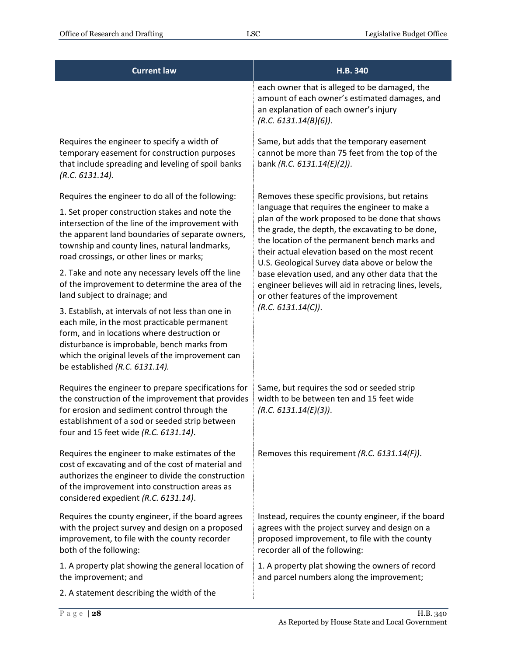| <b>Current law</b>                                                                                                                                                                                                                                                                     | H.B. 340                                                                                                                                                                                                                                                                                                   |
|----------------------------------------------------------------------------------------------------------------------------------------------------------------------------------------------------------------------------------------------------------------------------------------|------------------------------------------------------------------------------------------------------------------------------------------------------------------------------------------------------------------------------------------------------------------------------------------------------------|
|                                                                                                                                                                                                                                                                                        | each owner that is alleged to be damaged, the<br>amount of each owner's estimated damages, and<br>an explanation of each owner's injury<br>(R.C. 6131.14(B)(6)).                                                                                                                                           |
| Requires the engineer to specify a width of<br>temporary easement for construction purposes<br>that include spreading and leveling of spoil banks<br>(R.C. 6131.14).                                                                                                                   | Same, but adds that the temporary easement<br>cannot be more than 75 feet from the top of the<br>bank (R.C. 6131.14(E)(2)).                                                                                                                                                                                |
| Requires the engineer to do all of the following:                                                                                                                                                                                                                                      | Removes these specific provisions, but retains                                                                                                                                                                                                                                                             |
| 1. Set proper construction stakes and note the<br>intersection of the line of the improvement with<br>the apparent land boundaries of separate owners,<br>township and county lines, natural landmarks,<br>road crossings, or other lines or marks;                                    | language that requires the engineer to make a<br>plan of the work proposed to be done that shows<br>the grade, the depth, the excavating to be done,<br>the location of the permanent bench marks and<br>their actual elevation based on the most recent<br>U.S. Geological Survey data above or below the |
| 2. Take and note any necessary levels off the line<br>of the improvement to determine the area of the<br>land subject to drainage; and                                                                                                                                                 | base elevation used, and any other data that the<br>engineer believes will aid in retracing lines, levels,<br>or other features of the improvement                                                                                                                                                         |
| 3. Establish, at intervals of not less than one in<br>each mile, in the most practicable permanent<br>form, and in locations where destruction or<br>disturbance is improbable, bench marks from<br>which the original levels of the improvement can<br>be established (R.C. 6131.14). | (R.C. 6131.14(C)).                                                                                                                                                                                                                                                                                         |
| Requires the engineer to prepare specifications for<br>the construction of the improvement that provides<br>for erosion and sediment control through the<br>establishment of a sod or seeded strip between<br>four and 15 feet wide (R.C. 6131.14).                                    | Same, but requires the sod or seeded strip<br>width to be between ten and 15 feet wide<br>(R.C. 6131.14(E)(3)).                                                                                                                                                                                            |
| Requires the engineer to make estimates of the<br>cost of excavating and of the cost of material and<br>authorizes the engineer to divide the construction<br>of the improvement into construction areas as<br>considered expedient (R.C. 6131.14).                                    | Removes this requirement (R.C. 6131.14(F)).                                                                                                                                                                                                                                                                |
| Requires the county engineer, if the board agrees<br>with the project survey and design on a proposed<br>improvement, to file with the county recorder<br>both of the following:                                                                                                       | Instead, requires the county engineer, if the board<br>agrees with the project survey and design on a<br>proposed improvement, to file with the county<br>recorder all of the following:                                                                                                                   |
| 1. A property plat showing the general location of<br>the improvement; and                                                                                                                                                                                                             | 1. A property plat showing the owners of record<br>and parcel numbers along the improvement;                                                                                                                                                                                                               |
| 2. A statement describing the width of the                                                                                                                                                                                                                                             |                                                                                                                                                                                                                                                                                                            |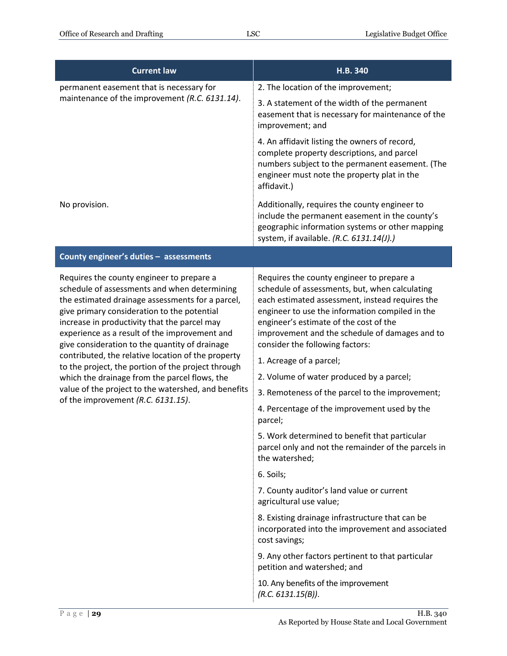| <b>Current law</b>                                                                                                                                                                                                                                                                                                                                                                                                                                                                                                                                                                                        | H.B.340                                                                                                                                                                                                                                                                                                                                                                                                                                                                                                                                                                                                                                                      |
|-----------------------------------------------------------------------------------------------------------------------------------------------------------------------------------------------------------------------------------------------------------------------------------------------------------------------------------------------------------------------------------------------------------------------------------------------------------------------------------------------------------------------------------------------------------------------------------------------------------|--------------------------------------------------------------------------------------------------------------------------------------------------------------------------------------------------------------------------------------------------------------------------------------------------------------------------------------------------------------------------------------------------------------------------------------------------------------------------------------------------------------------------------------------------------------------------------------------------------------------------------------------------------------|
| permanent easement that is necessary for<br>maintenance of the improvement (R.C. 6131.14).                                                                                                                                                                                                                                                                                                                                                                                                                                                                                                                | 2. The location of the improvement;                                                                                                                                                                                                                                                                                                                                                                                                                                                                                                                                                                                                                          |
|                                                                                                                                                                                                                                                                                                                                                                                                                                                                                                                                                                                                           | 3. A statement of the width of the permanent<br>easement that is necessary for maintenance of the<br>improvement; and                                                                                                                                                                                                                                                                                                                                                                                                                                                                                                                                        |
|                                                                                                                                                                                                                                                                                                                                                                                                                                                                                                                                                                                                           | 4. An affidavit listing the owners of record,<br>complete property descriptions, and parcel<br>numbers subject to the permanent easement. (The<br>engineer must note the property plat in the<br>affidavit.)                                                                                                                                                                                                                                                                                                                                                                                                                                                 |
| No provision.                                                                                                                                                                                                                                                                                                                                                                                                                                                                                                                                                                                             | Additionally, requires the county engineer to<br>include the permanent easement in the county's<br>geographic information systems or other mapping<br>system, if available. (R.C. 6131.14(J).)                                                                                                                                                                                                                                                                                                                                                                                                                                                               |
| County engineer's duties - assessments                                                                                                                                                                                                                                                                                                                                                                                                                                                                                                                                                                    |                                                                                                                                                                                                                                                                                                                                                                                                                                                                                                                                                                                                                                                              |
| Requires the county engineer to prepare a<br>schedule of assessments and when determining<br>the estimated drainage assessments for a parcel,<br>give primary consideration to the potential<br>increase in productivity that the parcel may<br>experience as a result of the improvement and<br>give consideration to the quantity of drainage<br>contributed, the relative location of the property<br>to the project, the portion of the project through<br>which the drainage from the parcel flows, the<br>value of the project to the watershed, and benefits<br>of the improvement (R.C. 6131.15). | Requires the county engineer to prepare a<br>schedule of assessments, but, when calculating<br>each estimated assessment, instead requires the<br>engineer to use the information compiled in the<br>engineer's estimate of the cost of the<br>improvement and the schedule of damages and to<br>consider the following factors:<br>1. Acreage of a parcel;<br>2. Volume of water produced by a parcel;<br>3. Remoteness of the parcel to the improvement;<br>4. Percentage of the improvement used by the<br>parcel;<br>5. Work determined to benefit that particular<br>parcel only and not the remainder of the parcels in<br>the watershed;<br>6. Soils; |
|                                                                                                                                                                                                                                                                                                                                                                                                                                                                                                                                                                                                           | 7. County auditor's land value or current<br>agricultural use value;                                                                                                                                                                                                                                                                                                                                                                                                                                                                                                                                                                                         |
|                                                                                                                                                                                                                                                                                                                                                                                                                                                                                                                                                                                                           | 8. Existing drainage infrastructure that can be<br>incorporated into the improvement and associated<br>cost savings;                                                                                                                                                                                                                                                                                                                                                                                                                                                                                                                                         |
|                                                                                                                                                                                                                                                                                                                                                                                                                                                                                                                                                                                                           | 9. Any other factors pertinent to that particular<br>petition and watershed; and                                                                                                                                                                                                                                                                                                                                                                                                                                                                                                                                                                             |
|                                                                                                                                                                                                                                                                                                                                                                                                                                                                                                                                                                                                           | 10. Any benefits of the improvement<br>(R.C. 6131.15(B)).                                                                                                                                                                                                                                                                                                                                                                                                                                                                                                                                                                                                    |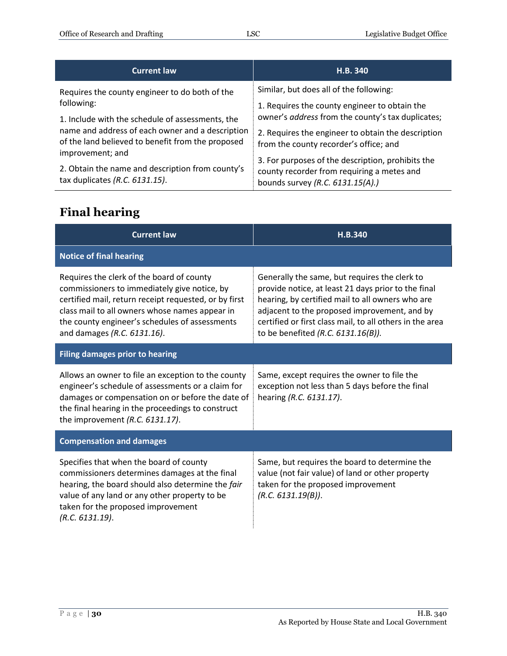| <b>Current law</b>                                                                                                        | H.B. 340                                                                                           |
|---------------------------------------------------------------------------------------------------------------------------|----------------------------------------------------------------------------------------------------|
| Requires the county engineer to do both of the<br>following:                                                              | Similar, but does all of the following:                                                            |
| 1. Include with the schedule of assessments, the                                                                          | 1. Requires the county engineer to obtain the<br>owner's address from the county's tax duplicates; |
| name and address of each owner and a description<br>of the land believed to benefit from the proposed<br>improvement; and | 2. Requires the engineer to obtain the description<br>from the county recorder's office; and       |
| 2. Obtain the name and description from county's                                                                          | 3. For purposes of the description, prohibits the<br>county recorder from requiring a metes and    |
| tax duplicates (R.C. 6131.15).                                                                                            | bounds survey (R.C. 6131.15(A).)                                                                   |

## <span id="page-29-0"></span>**Final hearing**

| <b>Current law</b>                                                                                                                                                                                                                                                                    | H.B.340                                                                                                                                                                                                                                                                                                       |  |
|---------------------------------------------------------------------------------------------------------------------------------------------------------------------------------------------------------------------------------------------------------------------------------------|---------------------------------------------------------------------------------------------------------------------------------------------------------------------------------------------------------------------------------------------------------------------------------------------------------------|--|
| <b>Notice of final hearing</b>                                                                                                                                                                                                                                                        |                                                                                                                                                                                                                                                                                                               |  |
| Requires the clerk of the board of county<br>commissioners to immediately give notice, by<br>certified mail, return receipt requested, or by first<br>class mail to all owners whose names appear in<br>the county engineer's schedules of assessments<br>and damages (R.C. 6131.16). | Generally the same, but requires the clerk to<br>provide notice, at least 21 days prior to the final<br>hearing, by certified mail to all owners who are<br>adjacent to the proposed improvement, and by<br>certified or first class mail, to all others in the area<br>to be benefited (R.C. $6131.16(B)$ ). |  |
| <b>Filing damages prior to hearing</b>                                                                                                                                                                                                                                                |                                                                                                                                                                                                                                                                                                               |  |
| Allows an owner to file an exception to the county<br>engineer's schedule of assessments or a claim for<br>damages or compensation on or before the date of<br>the final hearing in the proceedings to construct<br>the improvement $(R.C. 6131.17)$ .                                | Same, except requires the owner to file the<br>exception not less than 5 days before the final<br>hearing (R.C. 6131.17).                                                                                                                                                                                     |  |
| <b>Compensation and damages</b>                                                                                                                                                                                                                                                       |                                                                                                                                                                                                                                                                                                               |  |
| Specifies that when the board of county<br>commissioners determines damages at the final<br>hearing, the board should also determine the fair<br>value of any land or any other property to be<br>taken for the proposed improvement<br>(R.C. 6131.19).                               | Same, but requires the board to determine the<br>value (not fair value) of land or other property<br>taken for the proposed improvement<br>(R.C. 6131.19(B)).                                                                                                                                                 |  |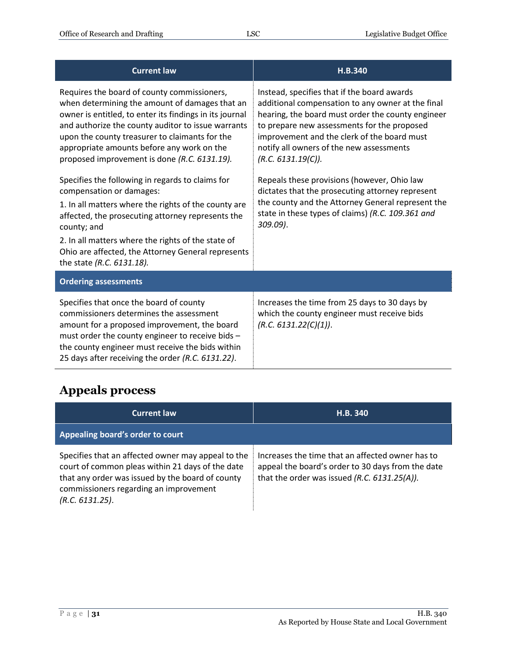| <b>Current law</b>                                                                                                                                                                                                                                                                                                                                             | H.B.340                                                                                                                                                                                                                                                                                                               |
|----------------------------------------------------------------------------------------------------------------------------------------------------------------------------------------------------------------------------------------------------------------------------------------------------------------------------------------------------------------|-----------------------------------------------------------------------------------------------------------------------------------------------------------------------------------------------------------------------------------------------------------------------------------------------------------------------|
| Requires the board of county commissioners,<br>when determining the amount of damages that an<br>owner is entitled, to enter its findings in its journal<br>and authorize the county auditor to issue warrants<br>upon the county treasurer to claimants for the<br>appropriate amounts before any work on the<br>proposed improvement is done (R.C. 6131.19). | Instead, specifies that if the board awards<br>additional compensation to any owner at the final<br>hearing, the board must order the county engineer<br>to prepare new assessments for the proposed<br>improvement and the clerk of the board must<br>notify all owners of the new assessments<br>(R.C. 6131.19(C)). |
| Specifies the following in regards to claims for<br>compensation or damages:<br>1. In all matters where the rights of the county are<br>affected, the prosecuting attorney represents the<br>county; and<br>2. In all matters where the rights of the state of<br>Ohio are affected, the Attorney General represents<br>the state (R.C. 6131.18).              | Repeals these provisions (however, Ohio law<br>dictates that the prosecuting attorney represent<br>the county and the Attorney General represent the<br>state in these types of claims) (R.C. 109.361 and<br>$309.09$ ).                                                                                              |
| <b>Ordering assessments</b>                                                                                                                                                                                                                                                                                                                                    |                                                                                                                                                                                                                                                                                                                       |
| Specifies that once the board of county<br>commissioners determines the assessment<br>amount for a proposed improvement, the board<br>must order the county engineer to receive bids -<br>the county engineer must receive the bids within<br>25 days after receiving the order (R.C. 6131.22).                                                                | Increases the time from 25 days to 30 days by<br>which the county engineer must receive bids<br>(R.C. 6131.22(C)(1)).                                                                                                                                                                                                 |

## <span id="page-30-0"></span>**Appeals process**

| <b>Current law</b>                                                                                                                                                                                                      | <b>H.B. 340</b>                                                                                                                                       |
|-------------------------------------------------------------------------------------------------------------------------------------------------------------------------------------------------------------------------|-------------------------------------------------------------------------------------------------------------------------------------------------------|
| Appealing board's order to court                                                                                                                                                                                        |                                                                                                                                                       |
| Specifies that an affected owner may appeal to the<br>court of common pleas within 21 days of the date<br>that any order was issued by the board of county<br>commissioners regarding an improvement<br>(R.C. 6131.25). | Increases the time that an affected owner has to<br>appeal the board's order to 30 days from the date<br>that the order was issued (R.C. 6131.25(A)). |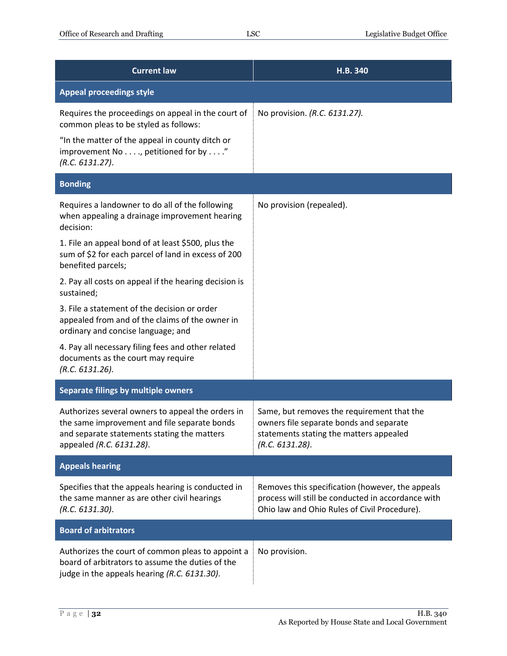| <b>Current law</b>                                                                                                                                                           | H.B. 340                                                                                                                                               |
|------------------------------------------------------------------------------------------------------------------------------------------------------------------------------|--------------------------------------------------------------------------------------------------------------------------------------------------------|
| <b>Appeal proceedings style</b>                                                                                                                                              |                                                                                                                                                        |
| Requires the proceedings on appeal in the court of<br>common pleas to be styled as follows:                                                                                  | No provision. (R.C. 6131.27).                                                                                                                          |
| "In the matter of the appeal in county ditch or<br>improvement No, petitioned for by"<br>(R.C. 6131.27).                                                                     |                                                                                                                                                        |
| <b>Bonding</b>                                                                                                                                                               |                                                                                                                                                        |
| Requires a landowner to do all of the following<br>when appealing a drainage improvement hearing<br>decision:                                                                | No provision (repealed).                                                                                                                               |
| 1. File an appeal bond of at least \$500, plus the<br>sum of \$2 for each parcel of land in excess of 200<br>benefited parcels;                                              |                                                                                                                                                        |
| 2. Pay all costs on appeal if the hearing decision is<br>sustained;                                                                                                          |                                                                                                                                                        |
| 3. File a statement of the decision or order<br>appealed from and of the claims of the owner in<br>ordinary and concise language; and                                        |                                                                                                                                                        |
| 4. Pay all necessary filing fees and other related<br>documents as the court may require<br>(R.C. 6131.26).                                                                  |                                                                                                                                                        |
| Separate filings by multiple owners                                                                                                                                          |                                                                                                                                                        |
| Authorizes several owners to appeal the orders in<br>the same improvement and file separate bonds<br>and separate statements stating the matters<br>appealed (R.C. 6131.28). | Same, but removes the requirement that the<br>owners file separate bonds and separate<br>statements stating the matters appealed<br>(R.C. 6131.28).    |
| <b>Appeals hearing</b>                                                                                                                                                       |                                                                                                                                                        |
| Specifies that the appeals hearing is conducted in<br>the same manner as are other civil hearings<br>(R.C. 6131.30).                                                         | Removes this specification (however, the appeals<br>process will still be conducted in accordance with<br>Ohio law and Ohio Rules of Civil Procedure). |
| <b>Board of arbitrators</b>                                                                                                                                                  |                                                                                                                                                        |
| Authorizes the court of common pleas to appoint a<br>board of arbitrators to assume the duties of the<br>judge in the appeals hearing (R.C. 6131.30).                        | No provision.                                                                                                                                          |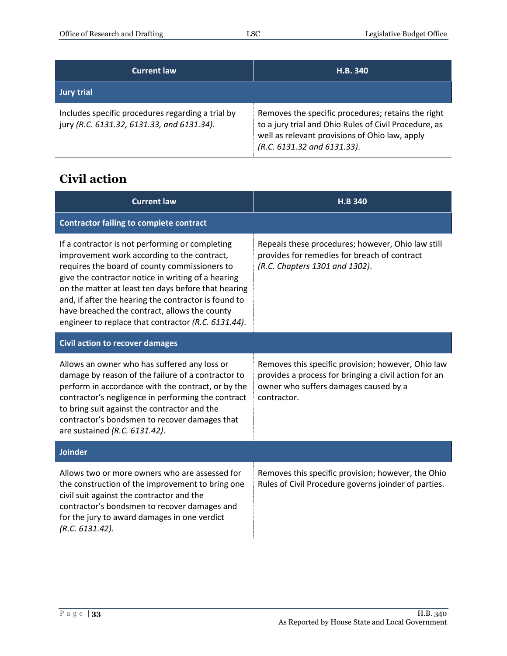| <b>Current law</b>                                                                              | H.B. 340                                                                                                                                                                                     |
|-------------------------------------------------------------------------------------------------|----------------------------------------------------------------------------------------------------------------------------------------------------------------------------------------------|
| <b>Jury trial</b>                                                                               |                                                                                                                                                                                              |
| Includes specific procedures regarding a trial by<br>jury (R.C. 6131.32, 6131.33, and 6131.34). | Removes the specific procedures; retains the right<br>to a jury trial and Ohio Rules of Civil Procedure, as<br>well as relevant provisions of Ohio law, apply<br>(R.C. 6131.32 and 6131.33). |

#### <span id="page-32-0"></span>**Civil action**

| <b>Current law</b>                                                                                                                                                                                                                                                                                                                                                                                                           | <b>H.B 340</b>                                                                                                                                                      |
|------------------------------------------------------------------------------------------------------------------------------------------------------------------------------------------------------------------------------------------------------------------------------------------------------------------------------------------------------------------------------------------------------------------------------|---------------------------------------------------------------------------------------------------------------------------------------------------------------------|
| <b>Contractor failing to complete contract</b>                                                                                                                                                                                                                                                                                                                                                                               |                                                                                                                                                                     |
| If a contractor is not performing or completing<br>improvement work according to the contract,<br>requires the board of county commissioners to<br>give the contractor notice in writing of a hearing<br>on the matter at least ten days before that hearing<br>and, if after the hearing the contractor is found to<br>have breached the contract, allows the county<br>engineer to replace that contractor (R.C. 6131.44). | Repeals these procedures; however, Ohio law still<br>provides for remedies for breach of contract<br>(R.C. Chapters 1301 and 1302).                                 |
| <b>Civil action to recover damages</b>                                                                                                                                                                                                                                                                                                                                                                                       |                                                                                                                                                                     |
| Allows an owner who has suffered any loss or<br>damage by reason of the failure of a contractor to<br>perform in accordance with the contract, or by the<br>contractor's negligence in performing the contract<br>to bring suit against the contractor and the<br>contractor's bondsmen to recover damages that<br>are sustained (R.C. 6131.42).                                                                             | Removes this specific provision; however, Ohio law<br>provides a process for bringing a civil action for an<br>owner who suffers damages caused by a<br>contractor. |
| <b>Joinder</b>                                                                                                                                                                                                                                                                                                                                                                                                               |                                                                                                                                                                     |
| Allows two or more owners who are assessed for<br>the construction of the improvement to bring one<br>civil suit against the contractor and the<br>contractor's bondsmen to recover damages and<br>for the jury to award damages in one verdict<br>(R.C. 6131.42).                                                                                                                                                           | Removes this specific provision; however, the Ohio<br>Rules of Civil Procedure governs joinder of parties.                                                          |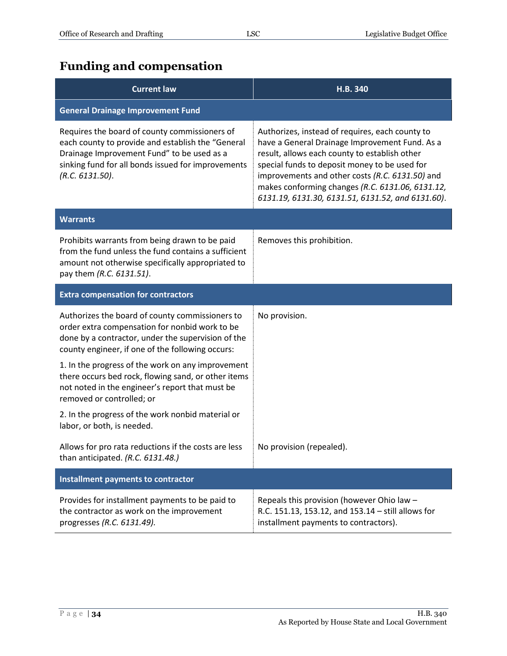## <span id="page-33-0"></span>**Funding and compensation**

| <b>Current law</b>                                                                                                                                                                                                        | H.B. 340                                                                                                                                                                                                                                                                                                                                                        |
|---------------------------------------------------------------------------------------------------------------------------------------------------------------------------------------------------------------------------|-----------------------------------------------------------------------------------------------------------------------------------------------------------------------------------------------------------------------------------------------------------------------------------------------------------------------------------------------------------------|
| <b>General Drainage Improvement Fund</b>                                                                                                                                                                                  |                                                                                                                                                                                                                                                                                                                                                                 |
| Requires the board of county commissioners of<br>each county to provide and establish the "General<br>Drainage Improvement Fund" to be used as a<br>sinking fund for all bonds issued for improvements<br>(R.C. 6131.50). | Authorizes, instead of requires, each county to<br>have a General Drainage Improvement Fund. As a<br>result, allows each county to establish other<br>special funds to deposit money to be used for<br>improvements and other costs (R.C. 6131.50) and<br>makes conforming changes (R.C. 6131.06, 6131.12,<br>6131.19, 6131.30, 6131.51, 6131.52, and 6131.60). |
| <b>Warrants</b>                                                                                                                                                                                                           |                                                                                                                                                                                                                                                                                                                                                                 |
| Prohibits warrants from being drawn to be paid<br>from the fund unless the fund contains a sufficient<br>amount not otherwise specifically appropriated to<br>pay them (R.C. 6131.51).                                    | Removes this prohibition.                                                                                                                                                                                                                                                                                                                                       |
| <b>Extra compensation for contractors</b>                                                                                                                                                                                 |                                                                                                                                                                                                                                                                                                                                                                 |
| Authorizes the board of county commissioners to<br>order extra compensation for nonbid work to be<br>done by a contractor, under the supervision of the<br>county engineer, if one of the following occurs:               | No provision.                                                                                                                                                                                                                                                                                                                                                   |
| 1. In the progress of the work on any improvement<br>there occurs bed rock, flowing sand, or other items<br>not noted in the engineer's report that must be<br>removed or controlled; or                                  |                                                                                                                                                                                                                                                                                                                                                                 |
| 2. In the progress of the work nonbid material or<br>labor, or both, is needed.                                                                                                                                           |                                                                                                                                                                                                                                                                                                                                                                 |
| Allows for pro rata reductions if the costs are less<br>than anticipated. (R.C. 6131.48.)                                                                                                                                 | No provision (repealed).                                                                                                                                                                                                                                                                                                                                        |
| Installment payments to contractor                                                                                                                                                                                        |                                                                                                                                                                                                                                                                                                                                                                 |
| Provides for installment payments to be paid to<br>the contractor as work on the improvement<br>progresses (R.C. 6131.49).                                                                                                | Repeals this provision (however Ohio law -<br>R.C. 151.13, 153.12, and 153.14 - still allows for<br>installment payments to contractors).                                                                                                                                                                                                                       |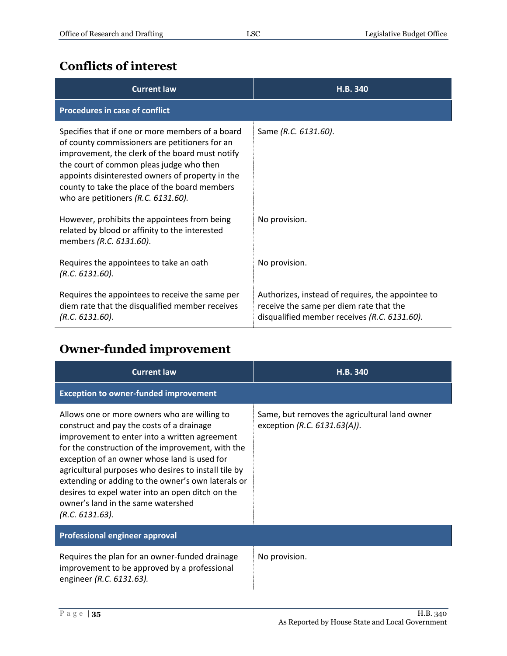#### <span id="page-34-0"></span>**Conflicts of interest**

| <b>Current law</b>                                                                                                                                                                                                                                                                                                                               | H.B. 340                                                                                                                                     |
|--------------------------------------------------------------------------------------------------------------------------------------------------------------------------------------------------------------------------------------------------------------------------------------------------------------------------------------------------|----------------------------------------------------------------------------------------------------------------------------------------------|
| <b>Procedures in case of conflict</b>                                                                                                                                                                                                                                                                                                            |                                                                                                                                              |
| Specifies that if one or more members of a board<br>of county commissioners are petitioners for an<br>improvement, the clerk of the board must notify<br>the court of common pleas judge who then<br>appoints disinterested owners of property in the<br>county to take the place of the board members<br>who are petitioners $(R.C. 6131.60)$ . | Same (R.C. 6131.60).                                                                                                                         |
| However, prohibits the appointees from being<br>related by blood or affinity to the interested<br>members (R.C. 6131.60).                                                                                                                                                                                                                        | No provision.                                                                                                                                |
| Requires the appointees to take an oath<br>(R.C. 6131.60).                                                                                                                                                                                                                                                                                       | No provision.                                                                                                                                |
| Requires the appointees to receive the same per<br>diem rate that the disqualified member receives<br>(R.C. 6131.60).                                                                                                                                                                                                                            | Authorizes, instead of requires, the appointee to<br>receive the same per diem rate that the<br>disqualified member receives (R.C. 6131.60). |

## <span id="page-34-1"></span>**Owner-funded improvement**

| <b>Current law</b>                                                                                                                                                                                                                                                                                                                                                                                                                                                         | H.B. 340                                                                         |
|----------------------------------------------------------------------------------------------------------------------------------------------------------------------------------------------------------------------------------------------------------------------------------------------------------------------------------------------------------------------------------------------------------------------------------------------------------------------------|----------------------------------------------------------------------------------|
| <b>Exception to owner-funded improvement</b>                                                                                                                                                                                                                                                                                                                                                                                                                               |                                                                                  |
| Allows one or more owners who are willing to<br>construct and pay the costs of a drainage<br>improvement to enter into a written agreement<br>for the construction of the improvement, with the<br>exception of an owner whose land is used for<br>agricultural purposes who desires to install tile by<br>extending or adding to the owner's own laterals or<br>desires to expel water into an open ditch on the<br>owner's land in the same watershed<br>(R.C. 6131.63). | Same, but removes the agricultural land owner<br>exception (R.C. $6131.63(A)$ ). |
| Professional engineer approval                                                                                                                                                                                                                                                                                                                                                                                                                                             |                                                                                  |
| Requires the plan for an owner-funded drainage<br>improvement to be approved by a professional<br>engineer (R.C. 6131.63).                                                                                                                                                                                                                                                                                                                                                 | No provision.                                                                    |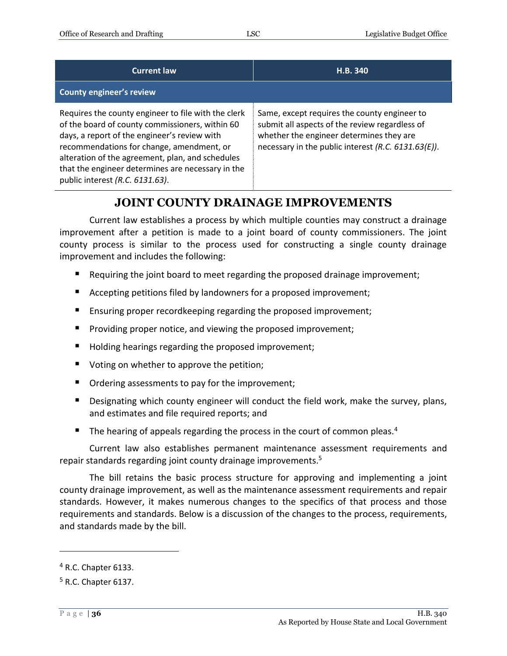| <b>Current law</b>                                                                                                                                                                                                                                                                                                                              | H.B. 340                                                                                                                                                                                          |
|-------------------------------------------------------------------------------------------------------------------------------------------------------------------------------------------------------------------------------------------------------------------------------------------------------------------------------------------------|---------------------------------------------------------------------------------------------------------------------------------------------------------------------------------------------------|
| <b>County engineer's review</b>                                                                                                                                                                                                                                                                                                                 |                                                                                                                                                                                                   |
| Requires the county engineer to file with the clerk<br>of the board of county commissioners, within 60<br>days, a report of the engineer's review with<br>recommendations for change, amendment, or<br>alteration of the agreement, plan, and schedules<br>that the engineer determines are necessary in the<br>public interest (R.C. 6131.63). | Same, except requires the county engineer to<br>submit all aspects of the review regardless of<br>whether the engineer determines they are<br>necessary in the public interest (R.C. 6131.63(E)). |

#### **JOINT COUNTY DRAINAGE IMPROVEMENTS**

<span id="page-35-0"></span>Current law establishes a process by which multiple counties may construct a drainage improvement after a petition is made to a joint board of county commissioners. The joint county process is similar to the process used for constructing a single county drainage improvement and includes the following:

- Requiring the joint board to meet regarding the proposed drainage improvement;
- Accepting petitions filed by landowners for a proposed improvement;
- Ensuring proper recordkeeping regarding the proposed improvement;
- Providing proper notice, and viewing the proposed improvement;
- Holding hearings regarding the proposed improvement;
- Voting on whether to approve the petition;
- Ordering assessments to pay for the improvement;
- **Designating which county engineer will conduct the field work, make the survey, plans,** and estimates and file required reports; and
- The hearing of appeals regarding the process in the court of common pleas.<sup>4</sup>

Current law also establishes permanent maintenance assessment requirements and repair standards regarding joint county drainage improvements.<sup>5</sup>

The bill retains the basic process structure for approving and implementing a joint county drainage improvement, as well as the maintenance assessment requirements and repair standards. However, it makes numerous changes to the specifics of that process and those requirements and standards. Below is a discussion of the changes to the process, requirements, and standards made by the bill.

 $\overline{a}$ 

 $<sup>4</sup>$  R.C. Chapter 6133.</sup>

<sup>5</sup> R.C. Chapter 6137.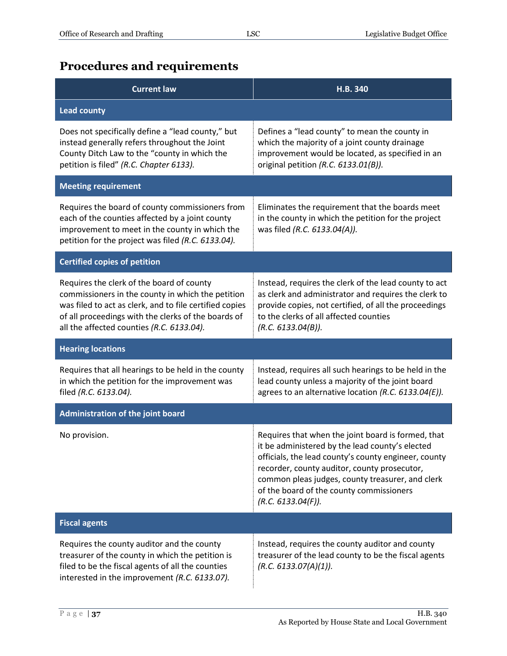## <span id="page-36-0"></span>**Procedures and requirements**

| <b>Current law</b>                                                                                                                                                                                                                                            | H.B. 340                                                                                                                                                                                                                                                                                                                            |
|---------------------------------------------------------------------------------------------------------------------------------------------------------------------------------------------------------------------------------------------------------------|-------------------------------------------------------------------------------------------------------------------------------------------------------------------------------------------------------------------------------------------------------------------------------------------------------------------------------------|
| <b>Lead county</b>                                                                                                                                                                                                                                            |                                                                                                                                                                                                                                                                                                                                     |
| Does not specifically define a "lead county," but<br>instead generally refers throughout the Joint<br>County Ditch Law to the "county in which the<br>petition is filed" (R.C. Chapter 6133).                                                                 | Defines a "lead county" to mean the county in<br>which the majority of a joint county drainage<br>improvement would be located, as specified in an<br>original petition (R.C. 6133.01(B)).                                                                                                                                          |
| <b>Meeting requirement</b>                                                                                                                                                                                                                                    |                                                                                                                                                                                                                                                                                                                                     |
| Requires the board of county commissioners from<br>each of the counties affected by a joint county<br>improvement to meet in the county in which the<br>petition for the project was filed (R.C. 6133.04).                                                    | Eliminates the requirement that the boards meet<br>in the county in which the petition for the project<br>was filed (R.C. 6133.04(A)).                                                                                                                                                                                              |
| <b>Certified copies of petition</b>                                                                                                                                                                                                                           |                                                                                                                                                                                                                                                                                                                                     |
| Requires the clerk of the board of county<br>commissioners in the county in which the petition<br>was filed to act as clerk, and to file certified copies<br>of all proceedings with the clerks of the boards of<br>all the affected counties (R.C. 6133.04). | Instead, requires the clerk of the lead county to act<br>as clerk and administrator and requires the clerk to<br>provide copies, not certified, of all the proceedings<br>to the clerks of all affected counties<br>(R.C. 6133.04(B)).                                                                                              |
| <b>Hearing locations</b>                                                                                                                                                                                                                                      |                                                                                                                                                                                                                                                                                                                                     |
| Requires that all hearings to be held in the county<br>in which the petition for the improvement was<br>filed (R.C. 6133.04).                                                                                                                                 | Instead, requires all such hearings to be held in the<br>lead county unless a majority of the joint board<br>agrees to an alternative location (R.C. 6133.04(E)).                                                                                                                                                                   |
| <b>Administration of the joint board</b>                                                                                                                                                                                                                      |                                                                                                                                                                                                                                                                                                                                     |
| No provision.                                                                                                                                                                                                                                                 | Requires that when the joint board is formed, that<br>it be administered by the lead county's elected<br>officials, the lead county's county engineer, county<br>recorder, county auditor, county prosecutor,<br>common pleas judges, county treasurer, and clerk<br>of the board of the county commissioners<br>(R.C. 6133.04(F)). |
| <b>Fiscal agents</b>                                                                                                                                                                                                                                          |                                                                                                                                                                                                                                                                                                                                     |
| Requires the county auditor and the county<br>treasurer of the county in which the petition is<br>filed to be the fiscal agents of all the counties<br>interested in the improvement (R.C. 6133.07).                                                          | Instead, requires the county auditor and county<br>treasurer of the lead county to be the fiscal agents<br>(R.C. 6133.07(A)(1)).                                                                                                                                                                                                    |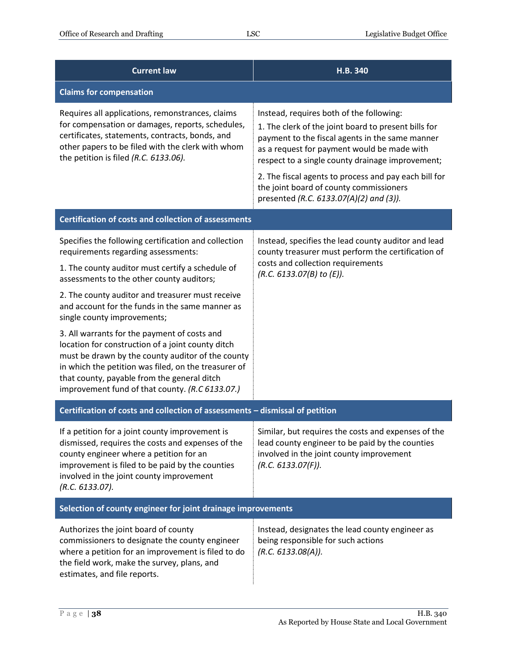| <b>Current law</b>                                                                                                                                                                                                                                                                                               | H.B. 340                                                                                                                                                                                                                                                                                                        |
|------------------------------------------------------------------------------------------------------------------------------------------------------------------------------------------------------------------------------------------------------------------------------------------------------------------|-----------------------------------------------------------------------------------------------------------------------------------------------------------------------------------------------------------------------------------------------------------------------------------------------------------------|
| <b>Claims for compensation</b>                                                                                                                                                                                                                                                                                   |                                                                                                                                                                                                                                                                                                                 |
| Requires all applications, remonstrances, claims<br>for compensation or damages, reports, schedules,<br>certificates, statements, contracts, bonds, and<br>other papers to be filed with the clerk with whom<br>the petition is filed (R.C. 6133.06).                                                            | Instead, requires both of the following:<br>1. The clerk of the joint board to present bills for<br>payment to the fiscal agents in the same manner<br>as a request for payment would be made with<br>respect to a single county drainage improvement;<br>2. The fiscal agents to process and pay each bill for |
|                                                                                                                                                                                                                                                                                                                  | the joint board of county commissioners<br>presented (R.C. 6133.07(A)(2) and (3)).                                                                                                                                                                                                                              |
| <b>Certification of costs and collection of assessments</b>                                                                                                                                                                                                                                                      |                                                                                                                                                                                                                                                                                                                 |
| Specifies the following certification and collection<br>requirements regarding assessments:                                                                                                                                                                                                                      | Instead, specifies the lead county auditor and lead<br>county treasurer must perform the certification of                                                                                                                                                                                                       |
| 1. The county auditor must certify a schedule of<br>assessments to the other county auditors;                                                                                                                                                                                                                    | costs and collection requirements<br>(R.C. 6133.07(B) to (E)).                                                                                                                                                                                                                                                  |
| 2. The county auditor and treasurer must receive<br>and account for the funds in the same manner as<br>single county improvements;                                                                                                                                                                               |                                                                                                                                                                                                                                                                                                                 |
| 3. All warrants for the payment of costs and<br>location for construction of a joint county ditch<br>must be drawn by the county auditor of the county<br>in which the petition was filed, on the treasurer of<br>that county, payable from the general ditch<br>improvement fund of that county. (R.C 6133.07.) |                                                                                                                                                                                                                                                                                                                 |
| Certification of costs and collection of assessments - dismissal of petition                                                                                                                                                                                                                                     |                                                                                                                                                                                                                                                                                                                 |
| If a petition for a joint county improvement is<br>dismissed, requires the costs and expenses of the<br>county engineer where a petition for an<br>improvement is filed to be paid by the counties<br>involved in the joint county improvement<br>(R.C. 6133.07).                                                | Similar, but requires the costs and expenses of the<br>lead county engineer to be paid by the counties<br>involved in the joint county improvement<br>(R.C. 6133.07(F)).                                                                                                                                        |
| Selection of county engineer for joint drainage improvements                                                                                                                                                                                                                                                     |                                                                                                                                                                                                                                                                                                                 |
| Authorizes the joint board of county<br>commissioners to designate the county engineer<br>where a petition for an improvement is filed to do<br>the field work, make the survey, plans, and<br>estimates, and file reports.                                                                                      | Instead, designates the lead county engineer as<br>being responsible for such actions<br>(R.C. 6133.08(A)).                                                                                                                                                                                                     |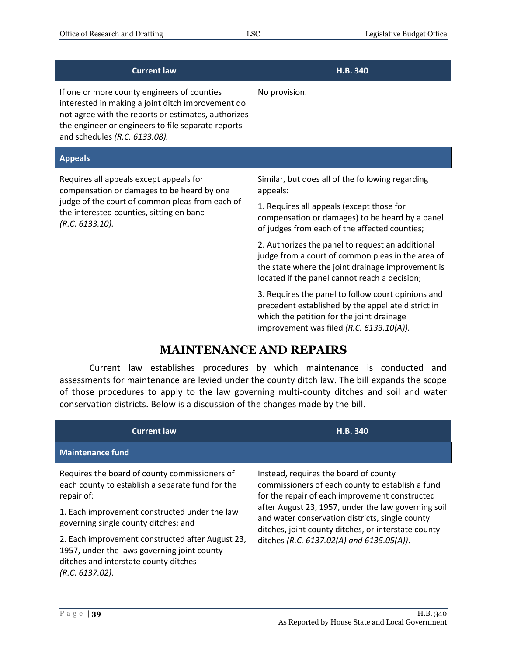| <b>Current law</b>                                                                                                                                                                                                                             | H.B. 340                                                                                                                                                                                                                                                          |
|------------------------------------------------------------------------------------------------------------------------------------------------------------------------------------------------------------------------------------------------|-------------------------------------------------------------------------------------------------------------------------------------------------------------------------------------------------------------------------------------------------------------------|
| If one or more county engineers of counties<br>interested in making a joint ditch improvement do<br>not agree with the reports or estimates, authorizes<br>the engineer or engineers to file separate reports<br>and schedules (R.C. 6133.08). | No provision.                                                                                                                                                                                                                                                     |
| <b>Appeals</b>                                                                                                                                                                                                                                 |                                                                                                                                                                                                                                                                   |
| Requires all appeals except appeals for<br>compensation or damages to be heard by one<br>judge of the court of common pleas from each of<br>the interested counties, sitting en banc<br>(R.C. 6133.10).                                        | Similar, but does all of the following regarding<br>appeals:<br>1. Requires all appeals (except those for<br>compensation or damages) to be heard by a panel<br>of judges from each of the affected counties;<br>2. Authorizes the panel to request an additional |
|                                                                                                                                                                                                                                                | judge from a court of common pleas in the area of<br>the state where the joint drainage improvement is<br>located if the panel cannot reach a decision;                                                                                                           |
|                                                                                                                                                                                                                                                | 3. Requires the panel to follow court opinions and<br>precedent established by the appellate district in<br>which the petition for the joint drainage<br>improvement was filed (R.C. 6133.10(A)).                                                                 |

#### **MAINTENANCE AND REPAIRS**

<span id="page-38-0"></span>Current law establishes procedures by which maintenance is conducted and assessments for maintenance are levied under the county ditch law. The bill expands the scope of those procedures to apply to the law governing multi-county ditches and soil and water conservation districts. Below is a discussion of the changes made by the bill.

| <b>Current law</b>                                                                                                                                          | H.B. 340                                                                                                                                                      |
|-------------------------------------------------------------------------------------------------------------------------------------------------------------|---------------------------------------------------------------------------------------------------------------------------------------------------------------|
| <b>Maintenance fund</b>                                                                                                                                     |                                                                                                                                                               |
| Requires the board of county commissioners of<br>each county to establish a separate fund for the<br>repair of:                                             | Instead, requires the board of county<br>commissioners of each county to establish a fund<br>for the repair of each improvement constructed                   |
| 1. Each improvement constructed under the law<br>governing single county ditches; and                                                                       | after August 23, 1957, under the law governing soil<br>and water conservation districts, single county<br>ditches, joint county ditches, or interstate county |
| 2. Each improvement constructed after August 23,<br>1957, under the laws governing joint county<br>ditches and interstate county ditches<br>(R.C. 6137.02). | ditches (R.C. 6137.02(A) and 6135.05(A)).                                                                                                                     |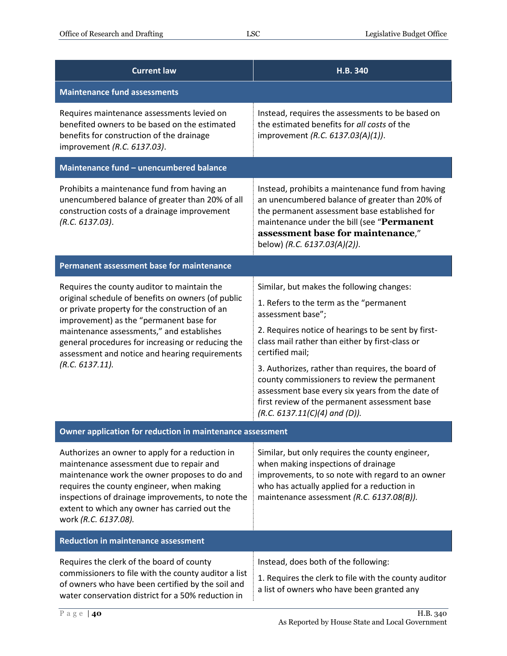| <b>Current law</b>                                                                                                                                                                                                                                                                                                                                                    | H.B. 340                                                                                                                                                                                                                                                                                                                                                                                                                                                                            |  |
|-----------------------------------------------------------------------------------------------------------------------------------------------------------------------------------------------------------------------------------------------------------------------------------------------------------------------------------------------------------------------|-------------------------------------------------------------------------------------------------------------------------------------------------------------------------------------------------------------------------------------------------------------------------------------------------------------------------------------------------------------------------------------------------------------------------------------------------------------------------------------|--|
| <b>Maintenance fund assessments</b>                                                                                                                                                                                                                                                                                                                                   |                                                                                                                                                                                                                                                                                                                                                                                                                                                                                     |  |
| Requires maintenance assessments levied on<br>benefited owners to be based on the estimated<br>benefits for construction of the drainage<br>improvement (R.C. 6137.03).                                                                                                                                                                                               | Instead, requires the assessments to be based on<br>the estimated benefits for all costs of the<br>improvement (R.C. 6137.03(A)(1)).                                                                                                                                                                                                                                                                                                                                                |  |
| Maintenance fund - unencumbered balance                                                                                                                                                                                                                                                                                                                               |                                                                                                                                                                                                                                                                                                                                                                                                                                                                                     |  |
| Prohibits a maintenance fund from having an<br>unencumbered balance of greater than 20% of all<br>construction costs of a drainage improvement<br>(R.C. 6137.03).                                                                                                                                                                                                     | Instead, prohibits a maintenance fund from having<br>an unencumbered balance of greater than 20% of<br>the permanent assessment base established for<br>maintenance under the bill (see "Permanent<br>assessment base for maintenance,"<br>below) (R.C. 6137.03(A)(2)).                                                                                                                                                                                                             |  |
| Permanent assessment base for maintenance                                                                                                                                                                                                                                                                                                                             |                                                                                                                                                                                                                                                                                                                                                                                                                                                                                     |  |
| Requires the county auditor to maintain the<br>original schedule of benefits on owners (of public<br>or private property for the construction of an<br>improvement) as the "permanent base for<br>maintenance assessments," and establishes<br>general procedures for increasing or reducing the<br>assessment and notice and hearing requirements<br>(R.C. 6137.11). | Similar, but makes the following changes:<br>1. Refers to the term as the "permanent<br>assessment base";<br>2. Requires notice of hearings to be sent by first-<br>class mail rather than either by first-class or<br>certified mail;<br>3. Authorizes, rather than requires, the board of<br>county commissioners to review the permanent<br>assessment base every six years from the date of<br>first review of the permanent assessment base<br>$(R.C. 6137.11(C)(4)$ and (D)). |  |
| Owner application for reduction in maintenance assessment                                                                                                                                                                                                                                                                                                             |                                                                                                                                                                                                                                                                                                                                                                                                                                                                                     |  |
| Authorizes an owner to apply for a reduction in<br>maintenance assessment due to repair and<br>maintenance work the owner proposes to do and<br>requires the county engineer, when making<br>inspections of drainage improvements, to note the<br>extent to which any owner has carried out the<br>work (R.C. 6137.08).                                               | Similar, but only requires the county engineer,<br>when making inspections of drainage<br>improvements, to so note with regard to an owner<br>who has actually applied for a reduction in<br>maintenance assessment (R.C. 6137.08(B)).                                                                                                                                                                                                                                              |  |
| <b>Reduction in maintenance assessment</b>                                                                                                                                                                                                                                                                                                                            |                                                                                                                                                                                                                                                                                                                                                                                                                                                                                     |  |
| Requires the clerk of the board of county<br>commissioners to file with the county auditor a list<br>of owners who have been certified by the soil and<br>water conservation district for a 50% reduction in                                                                                                                                                          | Instead, does both of the following:<br>1. Requires the clerk to file with the county auditor<br>a list of owners who have been granted any                                                                                                                                                                                                                                                                                                                                         |  |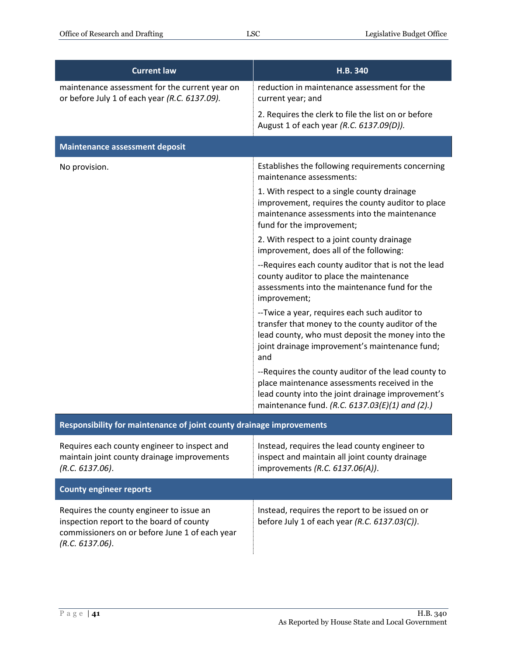| <b>Current law</b>                                                                                                                                        | H.B. 340                                                                                                                                                                                                       |
|-----------------------------------------------------------------------------------------------------------------------------------------------------------|----------------------------------------------------------------------------------------------------------------------------------------------------------------------------------------------------------------|
| maintenance assessment for the current year on<br>or before July 1 of each year (R.C. 6137.09).                                                           | reduction in maintenance assessment for the<br>current year; and                                                                                                                                               |
|                                                                                                                                                           | 2. Requires the clerk to file the list on or before<br>August 1 of each year (R.C. 6137.09(D)).                                                                                                                |
| <b>Maintenance assessment deposit</b>                                                                                                                     |                                                                                                                                                                                                                |
| No provision.                                                                                                                                             | Establishes the following requirements concerning<br>maintenance assessments:                                                                                                                                  |
|                                                                                                                                                           | 1. With respect to a single county drainage<br>improvement, requires the county auditor to place<br>maintenance assessments into the maintenance<br>fund for the improvement;                                  |
|                                                                                                                                                           | 2. With respect to a joint county drainage<br>improvement, does all of the following:                                                                                                                          |
|                                                                                                                                                           | --Requires each county auditor that is not the lead<br>county auditor to place the maintenance<br>assessments into the maintenance fund for the<br>improvement;                                                |
|                                                                                                                                                           | --Twice a year, requires each such auditor to<br>transfer that money to the county auditor of the<br>lead county, who must deposit the money into the<br>joint drainage improvement's maintenance fund;<br>and |
|                                                                                                                                                           | --Requires the county auditor of the lead county to<br>place maintenance assessments received in the<br>lead county into the joint drainage improvement's<br>maintenance fund. (R.C. 6137.03(E)(1) and (2).)   |
| Responsibility for maintenance of joint county drainage improvements                                                                                      |                                                                                                                                                                                                                |
| Requires each county engineer to inspect and<br>maintain joint county drainage improvements<br>(R.C. 6137.06).                                            | Instead, requires the lead county engineer to<br>inspect and maintain all joint county drainage<br>improvements (R.C. 6137.06(A)).                                                                             |
| <b>County engineer reports</b>                                                                                                                            |                                                                                                                                                                                                                |
| Requires the county engineer to issue an<br>inspection report to the board of county<br>commissioners on or before June 1 of each year<br>(R.C. 6137.06). | Instead, requires the report to be issued on or<br>before July 1 of each year (R.C. 6137.03(C)).                                                                                                               |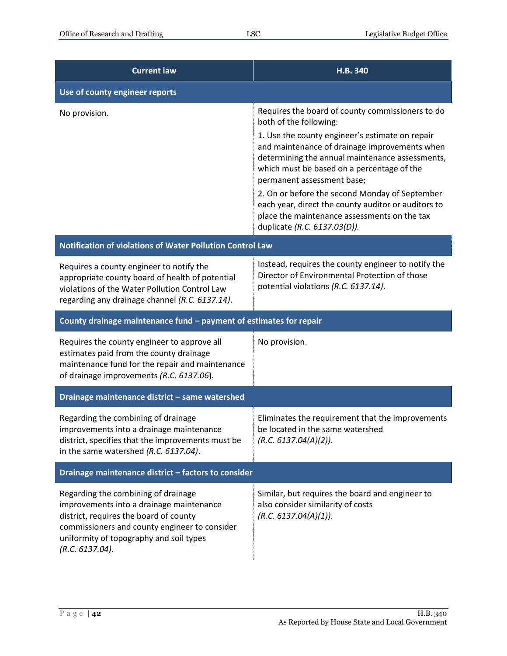| <b>Current law</b>                                                                                                                                                                                                                       | <b>H.B. 340</b>                                                                                                                                                                                                                                                                   |
|------------------------------------------------------------------------------------------------------------------------------------------------------------------------------------------------------------------------------------------|-----------------------------------------------------------------------------------------------------------------------------------------------------------------------------------------------------------------------------------------------------------------------------------|
| Use of county engineer reports                                                                                                                                                                                                           |                                                                                                                                                                                                                                                                                   |
| No provision.                                                                                                                                                                                                                            | Requires the board of county commissioners to do<br>both of the following:                                                                                                                                                                                                        |
|                                                                                                                                                                                                                                          | 1. Use the county engineer's estimate on repair<br>and maintenance of drainage improvements when<br>determining the annual maintenance assessments,<br>which must be based on a percentage of the<br>permanent assessment base;<br>2. On or before the second Monday of September |
|                                                                                                                                                                                                                                          | each year, direct the county auditor or auditors to<br>place the maintenance assessments on the tax<br>duplicate (R.C. 6137.03(D)).                                                                                                                                               |
| Notification of violations of Water Pollution Control Law                                                                                                                                                                                |                                                                                                                                                                                                                                                                                   |
| Requires a county engineer to notify the<br>appropriate county board of health of potential<br>violations of the Water Pollution Control Law<br>regarding any drainage channel (R.C. 6137.14).                                           | Instead, requires the county engineer to notify the<br>Director of Environmental Protection of those<br>potential violations (R.C. 6137.14).                                                                                                                                      |
| County drainage maintenance fund - payment of estimates for repair                                                                                                                                                                       |                                                                                                                                                                                                                                                                                   |
| Requires the county engineer to approve all<br>estimates paid from the county drainage<br>maintenance fund for the repair and maintenance<br>of drainage improvements (R.C. 6137.06).                                                    | No provision.                                                                                                                                                                                                                                                                     |
| Drainage maintenance district - same watershed                                                                                                                                                                                           |                                                                                                                                                                                                                                                                                   |
| Regarding the combining of drainage<br>improvements into a drainage maintenance<br>district, specifies that the improvements must be<br>in the same watershed (R.C. 6137.04).                                                            | Eliminates the requirement that the improvements<br>be located in the same watershed<br>(R.C. 6137.04(A)(2)).                                                                                                                                                                     |
| Drainage maintenance district - factors to consider                                                                                                                                                                                      |                                                                                                                                                                                                                                                                                   |
| Regarding the combining of drainage<br>improvements into a drainage maintenance<br>district, requires the board of county<br>commissioners and county engineer to consider<br>uniformity of topography and soil types<br>(R.C. 6137.04). | Similar, but requires the board and engineer to<br>also consider similarity of costs<br>(R.C. 6137.04(A)(1)).                                                                                                                                                                     |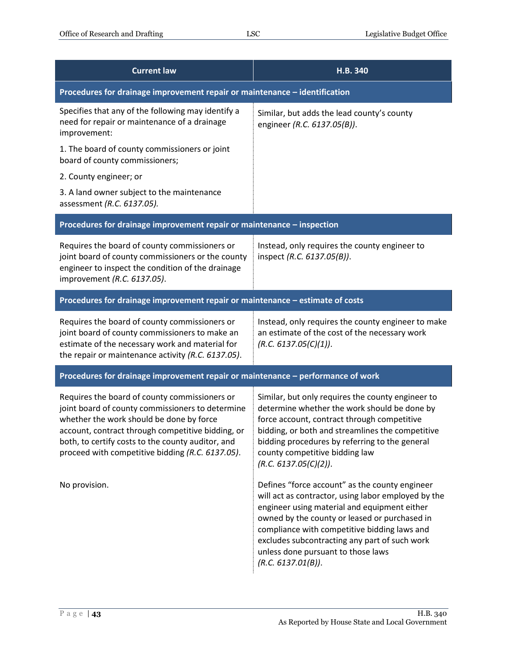| <b>Current law</b>                                                                                                                                                                                                                                                                                          | H.B.340                                                                                                                                                                                                                                                                                                                                                             |  |
|-------------------------------------------------------------------------------------------------------------------------------------------------------------------------------------------------------------------------------------------------------------------------------------------------------------|---------------------------------------------------------------------------------------------------------------------------------------------------------------------------------------------------------------------------------------------------------------------------------------------------------------------------------------------------------------------|--|
| Procedures for drainage improvement repair or maintenance - identification                                                                                                                                                                                                                                  |                                                                                                                                                                                                                                                                                                                                                                     |  |
| Specifies that any of the following may identify a<br>need for repair or maintenance of a drainage<br>improvement:                                                                                                                                                                                          | Similar, but adds the lead county's county<br>engineer (R.C. 6137.05(B)).                                                                                                                                                                                                                                                                                           |  |
| 1. The board of county commissioners or joint<br>board of county commissioners;                                                                                                                                                                                                                             |                                                                                                                                                                                                                                                                                                                                                                     |  |
| 2. County engineer; or                                                                                                                                                                                                                                                                                      |                                                                                                                                                                                                                                                                                                                                                                     |  |
| 3. A land owner subject to the maintenance<br>assessment (R.C. 6137.05).                                                                                                                                                                                                                                    |                                                                                                                                                                                                                                                                                                                                                                     |  |
| Procedures for drainage improvement repair or maintenance - inspection                                                                                                                                                                                                                                      |                                                                                                                                                                                                                                                                                                                                                                     |  |
| Requires the board of county commissioners or<br>joint board of county commissioners or the county<br>engineer to inspect the condition of the drainage<br>improvement (R.C. 6137.05).                                                                                                                      | Instead, only requires the county engineer to<br>inspect (R.C. 6137.05(B)).                                                                                                                                                                                                                                                                                         |  |
| Procedures for drainage improvement repair or maintenance - estimate of costs                                                                                                                                                                                                                               |                                                                                                                                                                                                                                                                                                                                                                     |  |
| Requires the board of county commissioners or<br>joint board of county commissioners to make an<br>estimate of the necessary work and material for<br>the repair or maintenance activity (R.C. 6137.05).                                                                                                    | Instead, only requires the county engineer to make<br>an estimate of the cost of the necessary work<br>(R.C. 6137.05(C)(1)).                                                                                                                                                                                                                                        |  |
| Procedures for drainage improvement repair or maintenance - performance of work                                                                                                                                                                                                                             |                                                                                                                                                                                                                                                                                                                                                                     |  |
| Requires the board of county commissioners or<br>joint board of county commissioners to determine<br>whether the work should be done by force<br>account, contract through competitive bidding, or<br>both, to certify costs to the county auditor, and<br>proceed with competitive bidding (R.C. 6137.05). | Similar, but only requires the county engineer to<br>determine whether the work should be done by<br>force account, contract through competitive<br>bidding, or both and streamlines the competitive<br>bidding procedures by referring to the general<br>county competitive bidding law<br>(R.C. 6137.05(C)(2)).                                                   |  |
| No provision.                                                                                                                                                                                                                                                                                               | Defines "force account" as the county engineer<br>will act as contractor, using labor employed by the<br>engineer using material and equipment either<br>owned by the county or leased or purchased in<br>compliance with competitive bidding laws and<br>excludes subcontracting any part of such work<br>unless done pursuant to those laws<br>(R.C. 6137.01(B)). |  |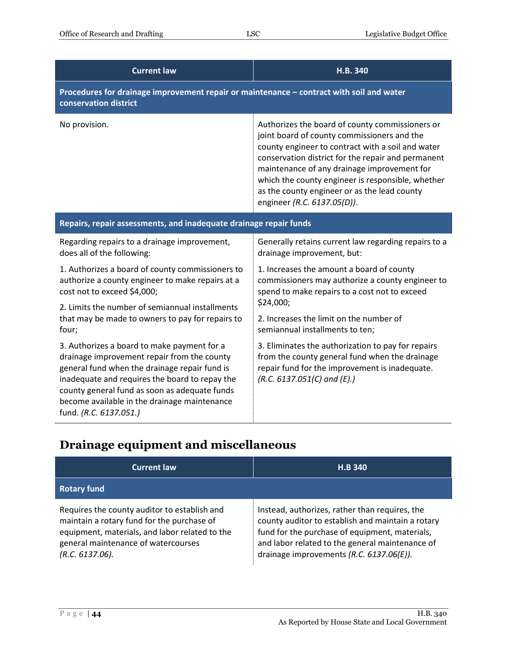| <b>Current law</b>                                                                                                                                                                                                                                                                                                       | H.B. 340                                                                                                                                                                                                                                                                                                                                                                                     |  |
|--------------------------------------------------------------------------------------------------------------------------------------------------------------------------------------------------------------------------------------------------------------------------------------------------------------------------|----------------------------------------------------------------------------------------------------------------------------------------------------------------------------------------------------------------------------------------------------------------------------------------------------------------------------------------------------------------------------------------------|--|
| Procedures for drainage improvement repair or maintenance - contract with soil and water<br>conservation district                                                                                                                                                                                                        |                                                                                                                                                                                                                                                                                                                                                                                              |  |
| No provision.                                                                                                                                                                                                                                                                                                            | Authorizes the board of county commissioners or<br>joint board of county commissioners and the<br>county engineer to contract with a soil and water<br>conservation district for the repair and permanent<br>maintenance of any drainage improvement for<br>which the county engineer is responsible, whether<br>as the county engineer or as the lead county<br>engineer (R.C. 6137.05(D)). |  |
| Repairs, repair assessments, and inadequate drainage repair funds                                                                                                                                                                                                                                                        |                                                                                                                                                                                                                                                                                                                                                                                              |  |
| Regarding repairs to a drainage improvement,<br>does all of the following:                                                                                                                                                                                                                                               | Generally retains current law regarding repairs to a<br>drainage improvement, but:                                                                                                                                                                                                                                                                                                           |  |
| 1. Authorizes a board of county commissioners to<br>authorize a county engineer to make repairs at a<br>cost not to exceed \$4,000;                                                                                                                                                                                      | 1. Increases the amount a board of county<br>commissioners may authorize a county engineer to<br>spend to make repairs to a cost not to exceed                                                                                                                                                                                                                                               |  |
| 2. Limits the number of semiannual installments<br>that may be made to owners to pay for repairs to                                                                                                                                                                                                                      | \$24,000;<br>2. Increases the limit on the number of                                                                                                                                                                                                                                                                                                                                         |  |
| four;                                                                                                                                                                                                                                                                                                                    | semiannual installments to ten;                                                                                                                                                                                                                                                                                                                                                              |  |
| 3. Authorizes a board to make payment for a<br>drainage improvement repair from the county<br>general fund when the drainage repair fund is<br>inadequate and requires the board to repay the<br>county general fund as soon as adequate funds<br>become available in the drainage maintenance<br>fund. (R.C. 6137.051.) | 3. Eliminates the authorization to pay for repairs<br>from the county general fund when the drainage<br>repair fund for the improvement is inadequate.<br>$(R.C. 6137.051(C)$ and $(E).$                                                                                                                                                                                                     |  |

## <span id="page-43-0"></span>**Drainage equipment and miscellaneous**

| <b>Current law</b>                                                                                                                                                                                        | <b>H.B 340</b>                                                                                                                                                                                                                                       |
|-----------------------------------------------------------------------------------------------------------------------------------------------------------------------------------------------------------|------------------------------------------------------------------------------------------------------------------------------------------------------------------------------------------------------------------------------------------------------|
| <b>Rotary fund</b>                                                                                                                                                                                        |                                                                                                                                                                                                                                                      |
| Requires the county auditor to establish and<br>maintain a rotary fund for the purchase of<br>equipment, materials, and labor related to the<br>general maintenance of watercourses<br>$(R.C. 6137.06)$ . | Instead, authorizes, rather than requires, the<br>county auditor to establish and maintain a rotary<br>fund for the purchase of equipment, materials,<br>and labor related to the general maintenance of<br>drainage improvements (R.C. 6137.06(E)). |